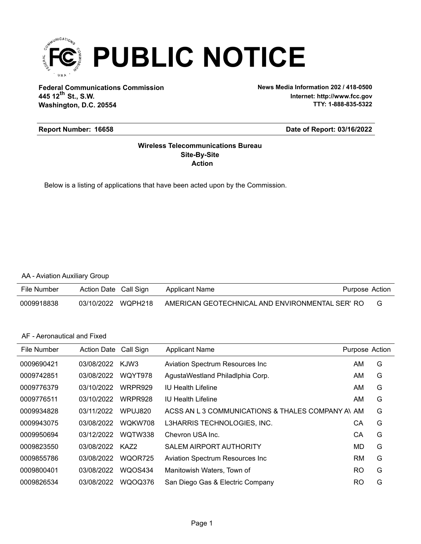

**Federal Communications Commission News Media Information 202 / 418-0500 Washington, D.C. 20554 th 445 12 St., S.W.**

**Internet: http://www.fcc.gov TTY: 1-888-835-5322**

#### **Report Number: 16658**

#### **Date of Report: 03/16/2022**

### **Action Site-By-Site Wireless Telecommunications Bureau**

Below is a listing of applications that have been acted upon by the Commission.

### AA - Aviation Auxiliary Group

| File Number | Action Date Call Sign | Applicant Name                                  | Purpose Action |
|-------------|-----------------------|-------------------------------------------------|----------------|
| 0009918838  | 03/10/2022 WQPH218    | AMERICAN GEOTECHNICAL AND ENVIRONMENTAL SER' RO |                |

### AF - Aeronautical and Fixed

| File Number | Action Date | Call Sign | <b>Applicant Name</b>                            | Purpose Action |   |
|-------------|-------------|-----------|--------------------------------------------------|----------------|---|
| 0009690421  | 03/08/2022  | KJW3      | Aviation Spectrum Resources Inc                  | AM             | G |
| 0009742851  | 03/08/2022  | WQYT978   | AgustaWestland Philadlphia Corp.                 | AM             | G |
| 0009776379  | 03/10/2022  | WRPR929   | <b>IU Health Lifeline</b>                        | AM             | G |
| 0009776511  | 03/10/2022  | WRPR928   | IU Health Lifeline                               | ΑM             | G |
| 0009934828  | 03/11/2022  | WPUJ820   | ACSS AN L 3 COMMUNICATIONS & THALES COMPANY AVAM |                | G |
| 0009943075  | 03/08/2022  | WQKW708   | L3HARRIS TECHNOLOGIES, INC.                      | СA             | G |
| 0009950694  | 03/12/2022  | WQTW338   | Chevron USA Inc.                                 | СA             | G |
| 0009823550  | 03/08/2022  | KAZ2      | <b>SALEM AIRPORT AUTHORITY</b>                   | MD             | G |
| 0009855786  | 03/08/2022  | WQOR725   | <b>Aviation Spectrum Resources Inc.</b>          | <b>RM</b>      | G |
| 0009800401  | 03/08/2022  | WQOS434   | Manitowish Waters, Town of                       | <b>RO</b>      | G |
| 0009826534  | 03/08/2022  | WQOQ376   | San Diego Gas & Electric Company                 | <b>RO</b>      | G |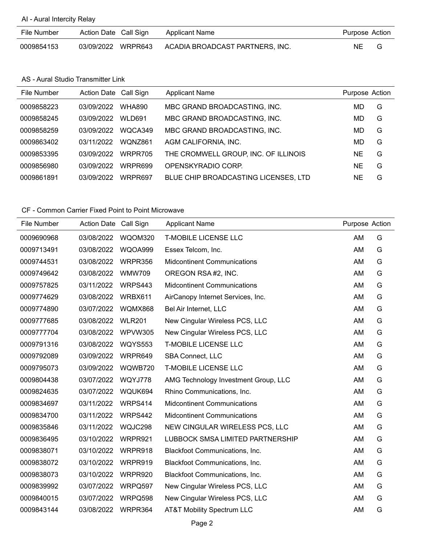# AI - Aural Intercity Relay

| File Number | Action Date Call Sign | <b>Applicant Name</b>           | Purpose Action |  |
|-------------|-----------------------|---------------------------------|----------------|--|
| 0009854153  | 03/09/2022 WRPR643    | ACADIA BROADCAST PARTNERS, INC. | NE.            |  |

#### AS - Aural Studio Transmitter Link

| File Number | Action Date Call Sign |               | <b>Applicant Name</b>                | Purpose Action |   |
|-------------|-----------------------|---------------|--------------------------------------|----------------|---|
| 0009858223  | 03/09/2022            | <b>WHA890</b> | MBC GRAND BROADCASTING, INC.         | MD             | G |
| 0009858245  | 03/09/2022            | WLD691        | MBC GRAND BROADCASTING, INC.         | MD             | G |
| 0009858259  | 03/09/2022            | WQCA349       | MBC GRAND BROADCASTING, INC.         | MD             | G |
| 0009863402  | 03/11/2022            | WQNZ861       | AGM CALIFORNIA, INC.                 | MD             | G |
| 0009853395  | 03/09/2022            | WRPR705       | THE CROMWELL GROUP, INC. OF ILLINOIS | NE             | G |
| 0009856980  | 03/09/2022            | WRPR699       | OPENSKYRADIO CORP.                   | <b>NE</b>      | G |
| 0009861891  | 03/09/2022            | WRPR697       | BLUE CHIP BROADCASTING LICENSES, LTD | ΝE             | G |
|             |                       |               |                                      |                |   |

| File Number | Action Date Call Sign |                | <b>Applicant Name</b>                 | Purpose Action |   |
|-------------|-----------------------|----------------|---------------------------------------|----------------|---|
| 0009690968  | 03/08/2022            | WQOM320        | <b>T-MOBILE LICENSE LLC</b>           | AM             | G |
| 0009713491  | 03/08/2022            | WQOA999        | Essex Telcom, Inc.                    | AM             | G |
| 0009744531  | 03/08/2022            | WRPR356        | <b>Midcontinent Communications</b>    | AM             | G |
| 0009749642  | 03/08/2022            | <b>WMW709</b>  | OREGON RSA #2, INC.                   | AM             | G |
| 0009757825  | 03/11/2022            | WRPS443        | <b>Midcontinent Communications</b>    | AM             | G |
| 0009774629  | 03/08/2022            | WRBX611        | AirCanopy Internet Services, Inc.     | AM             | G |
| 0009774890  | 03/07/2022            | WQMX868        | Bel Air Internet, LLC                 | AM             | G |
| 0009777685  | 03/08/2022            | <b>WLR201</b>  | New Cingular Wireless PCS, LLC        | AM             | G |
| 0009777704  | 03/08/2022            | WPVW305        | New Cingular Wireless PCS, LLC        | AM             | G |
| 0009791316  | 03/08/2022            | <b>WQYS553</b> | <b>T-MOBILE LICENSE LLC</b>           | AM             | G |
| 0009792089  | 03/09/2022            | WRPR649        | <b>SBA Connect, LLC</b>               | AM             | G |
| 0009795073  | 03/09/2022            | WQWB720        | <b>T-MOBILE LICENSE LLC</b>           | AM             | G |
| 0009804438  | 03/07/2022            | WQYJ778        | AMG Technology Investment Group, LLC  | AM             | G |
| 0009824635  | 03/07/2022            | WQUK694        | Rhino Communications, Inc.            | AM             | G |
| 0009834697  | 03/11/2022            | WRPS414        | <b>Midcontinent Communications</b>    | AM             | G |
| 0009834700  | 03/11/2022            | WRPS442        | <b>Midcontinent Communications</b>    | AM             | G |
| 0009835846  | 03/11/2022            | WQJC298        | NEW CINGULAR WIRELESS PCS, LLC        | AM             | G |
| 0009836495  | 03/10/2022            | WRPR921        | LUBBOCK SMSA LIMITED PARTNERSHIP      | AM             | G |
| 0009838071  | 03/10/2022            | WRPR918        | Blackfoot Communications, Inc.        | AM             | G |
| 0009838072  | 03/10/2022            | WRPR919        | <b>Blackfoot Communications, Inc.</b> | AM             | G |
| 0009838073  | 03/10/2022            | WRPR920        | Blackfoot Communications, Inc.        | AM             | G |
| 0009839992  | 03/07/2022            | WRPQ597        | New Cingular Wireless PCS, LLC        | AM             | G |
| 0009840015  | 03/07/2022            | WRPQ598        | New Cingular Wireless PCS, LLC        | AM             | G |
| 0009843144  | 03/08/2022            | WRPR364        | <b>AT&amp;T Mobility Spectrum LLC</b> | AM             | G |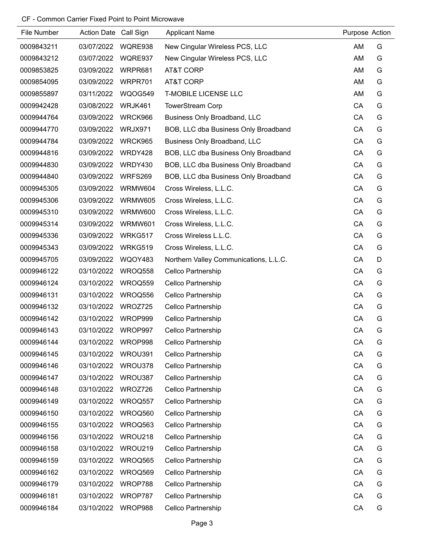| File Number | Action Date Call Sign |         | <b>Applicant Name</b>                  | Purpose Action |   |
|-------------|-----------------------|---------|----------------------------------------|----------------|---|
| 0009843211  | 03/07/2022            | WQRE938 | New Cingular Wireless PCS, LLC         | AM             | G |
| 0009843212  | 03/07/2022            | WQRE937 | New Cingular Wireless PCS, LLC         | AM             | G |
| 0009853825  | 03/09/2022            | WRPR681 | AT&T CORP                              | AM             | G |
| 0009854095  | 03/09/2022            | WRPR701 | AT&T CORP                              | AM             | G |
| 0009855897  | 03/11/2022            | WQOG549 | <b>T-MOBILE LICENSE LLC</b>            | AM             | G |
| 0009942428  | 03/08/2022            | WRJK461 | <b>TowerStream Corp</b>                | CA             | G |
| 0009944764  | 03/09/2022            | WRCK966 | <b>Business Only Broadband, LLC</b>    | CA             | G |
| 0009944770  | 03/09/2022            | WRJX971 | BOB, LLC dba Business Only Broadband   | CA             | G |
| 0009944784  | 03/09/2022            | WRCK965 | <b>Business Only Broadband, LLC</b>    | CA             | G |
| 0009944816  | 03/09/2022            | WRDY428 | BOB, LLC dba Business Only Broadband   | CA             | G |
| 0009944830  | 03/09/2022            | WRDY430 | BOB, LLC dba Business Only Broadband   | CA             | G |
| 0009944840  | 03/09/2022            | WRFS269 | BOB, LLC dba Business Only Broadband   | CA             | G |
| 0009945305  | 03/09/2022            | WRMW604 | Cross Wireless, L.L.C.                 | CA             | G |
| 0009945306  | 03/09/2022            | WRMW605 | Cross Wireless, L.L.C.                 | CA             | G |
| 0009945310  | 03/09/2022            | WRMW600 | Cross Wireless, L.L.C.                 | CA             | G |
| 0009945314  | 03/09/2022            | WRMW601 | Cross Wireless, L.L.C.                 | CA             | G |
| 0009945336  | 03/09/2022            | WRKG517 | Cross Wireless L.L.C.                  | CA             | G |
| 0009945343  | 03/09/2022            | WRKG519 | Cross Wireless, L.L.C.                 | CA             | G |
| 0009945705  | 03/09/2022            | WQOY483 | Northern Valley Communications, L.L.C. | CA             | D |
| 0009946122  | 03/10/2022            | WROQ558 | Cellco Partnership                     | CA             | G |
| 0009946124  | 03/10/2022            | WROQ559 | Cellco Partnership                     | CA             | G |
| 0009946131  | 03/10/2022            | WROQ556 | Cellco Partnership                     | CA             | G |
| 0009946132  | 03/10/2022            | WROZ725 | Cellco Partnership                     | CA             | G |
| 0009946142  | 03/10/2022            | WROP999 | Cellco Partnership                     | CA             | G |
| 0009946143  | 03/10/2022            | WROP997 | Cellco Partnership                     | CA             | G |
| 0009946144  | 03/10/2022            | WROP998 | Cellco Partnership                     | CA             | G |
| 0009946145  | 03/10/2022            | WROU391 | <b>Cellco Partnership</b>              | CA             | G |
| 0009946146  | 03/10/2022            | WROU378 | Cellco Partnership                     | CA             | G |
| 0009946147  | 03/10/2022            | WROU387 | Cellco Partnership                     | CA             | G |
| 0009946148  | 03/10/2022            | WROZ726 | Cellco Partnership                     | CA             | G |
| 0009946149  | 03/10/2022            | WROQ557 | Cellco Partnership                     | CA             | G |
| 0009946150  | 03/10/2022            | WROQ560 | Cellco Partnership                     | CA             | G |
| 0009946155  | 03/10/2022            | WROQ563 | Cellco Partnership                     | CA             | G |
| 0009946156  | 03/10/2022            | WROU218 | Cellco Partnership                     | CA             | G |
| 0009946158  | 03/10/2022            | WROU219 | Cellco Partnership                     | CA             | G |
| 0009946159  | 03/10/2022            | WROQ565 | Cellco Partnership                     | CA             | G |
| 0009946162  | 03/10/2022            | WROQ569 | Cellco Partnership                     | CA             | G |
| 0009946179  | 03/10/2022            | WROP788 | Cellco Partnership                     | CA             | G |
| 0009946181  | 03/10/2022            | WROP787 | Cellco Partnership                     | CA             | G |
| 0009946184  | 03/10/2022            | WROP988 | Cellco Partnership                     | CA             | G |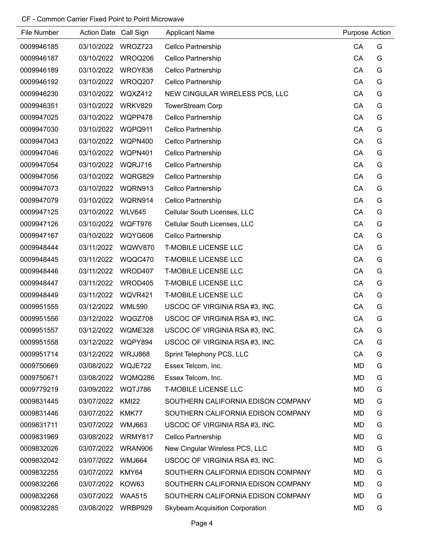| File Number | Action Date Call Sign |                | <b>Applicant Name</b>              | Purpose Action |   |
|-------------|-----------------------|----------------|------------------------------------|----------------|---|
| 0009946185  | 03/10/2022            | WROZ723        | Cellco Partnership                 | CA             | G |
| 0009946187  | 03/10/2022            | WROQ206        | Cellco Partnership                 | CA             | G |
| 0009946189  | 03/10/2022            | WROY838        | Cellco Partnership                 | CA             | G |
| 0009946192  | 03/10/2022            | WROQ207        | Cellco Partnership                 | CA             | G |
| 0009946230  | 03/10/2022            | WQXZ412        | NEW CINGULAR WIRELESS PCS, LLC     | CA             | G |
| 0009946351  | 03/10/2022            | WRKV829        | <b>TowerStream Corp</b>            | CA             | G |
| 0009947025  | 03/10/2022            | WQPP478        | Cellco Partnership                 | CA             | G |
| 0009947030  | 03/10/2022            | WQPQ911        | Cellco Partnership                 | CA             | G |
| 0009947043  | 03/10/2022            | WQPN400        | Cellco Partnership                 | CA             | G |
| 0009947046  | 03/10/2022            | WQPN401        | Cellco Partnership                 | CA             | G |
| 0009947054  | 03/10/2022            | WQRJ716        | Cellco Partnership                 | CA             | G |
| 0009947056  | 03/10/2022            | WQRG829        | Cellco Partnership                 | CA             | G |
| 0009947073  | 03/10/2022            | WQRN913        | Cellco Partnership                 | CA             | G |
| 0009947079  | 03/10/2022            | WQRN914        | Cellco Partnership                 | CA             | G |
| 0009947125  | 03/10/2022            | <b>WLV645</b>  | Cellular South Licenses, LLC       | CA             | G |
| 0009947126  | 03/10/2022            | WQFT976        | Cellular South Licenses, LLC       | CA             | G |
| 0009947167  | 03/10/2022            | WQYG606        | Cellco Partnership                 | CA             | G |
| 0009948444  | 03/11/2022            | <b>WQWV870</b> | <b>T-MOBILE LICENSE LLC</b>        | CA             | G |
| 0009948445  | 03/11/2022            | WQQC470        | <b>T-MOBILE LICENSE LLC</b>        | CA             | G |
| 0009948446  | 03/11/2022            | WROD407        | <b>T-MOBILE LICENSE LLC</b>        | CA             | G |
| 0009948447  | 03/11/2022            | WROD405        | <b>T-MOBILE LICENSE LLC</b>        | CA             | G |
| 0009948449  | 03/11/2022            | WQVR421        | <b>T-MOBILE LICENSE LLC</b>        | CA             | G |
| 0009951555  | 03/12/2022            | <b>WML590</b>  | USCOC OF VIRGINIA RSA #3, INC.     | CA             | G |
| 0009951556  | 03/12/2022            | WQGZ708        | USCOC OF VIRGINIA RSA #3, INC.     | CA             | G |
| 0009951557  | 03/12/2022            | WQME328        | USCOC OF VIRGINIA RSA #3, INC.     | CA             | G |
| 0009951558  | 03/12/2022            | WQPY894        | USCOC OF VIRGINIA RSA #3, INC.     | CA             | G |
| 0009951714  | 03/12/2022            | WRJJ868        | Sprint Telephony PCS, LLC          | CA             | G |
| 0009750669  | 03/08/2022            | WQJE722        | Essex Telcom, Inc.                 | <b>MD</b>      | G |
| 0009750671  | 03/08/2022            | WQMQ286        | Essex Telcom, Inc.                 | MD             | G |
| 0009779219  | 03/09/2022            | WQTJ786        | <b>T-MOBILE LICENSE LLC</b>        | MD             | G |
| 0009831445  | 03/07/2022            | <b>KMI22</b>   | SOUTHERN CALIFORNIA EDISON COMPANY | <b>MD</b>      | G |
| 0009831446  | 03/07/2022            | KMK77          | SOUTHERN CALIFORNIA EDISON COMPANY | MD             | G |
| 0009831711  | 03/07/2022            | <b>WMJ663</b>  | USCOC OF VIRGINIA RSA #3, INC.     | MD             | G |
| 0009831969  | 03/08/2022            | WRMY817        | Cellco Partnership                 | MD             | G |
| 0009832026  | 03/07/2022            | WRAN906        | New Cingular Wireless PCS, LLC     | <b>MD</b>      | G |
| 0009832042  | 03/07/2022            | <b>WMJ664</b>  | USCOC OF VIRGINIA RSA #3, INC.     | MD             | G |
| 0009832255  | 03/07/2022            | KMY64          | SOUTHERN CALIFORNIA EDISON COMPANY | MD             | G |
| 0009832266  | 03/07/2022            | KOW63          | SOUTHERN CALIFORNIA EDISON COMPANY | MD             | G |
| 0009832268  | 03/07/2022            | <b>WAA515</b>  | SOUTHERN CALIFORNIA EDISON COMPANY | MD             | G |
| 0009832285  | 03/08/2022            | WRBP929        | Skybeam Acquisition Corporation    | MD             | G |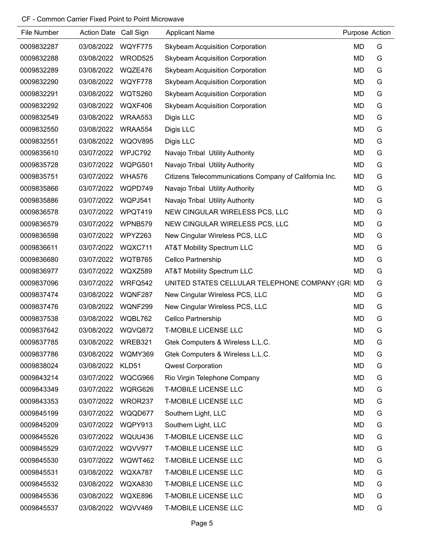| <b>File Number</b> | Action Date Call Sign |                | <b>Applicant Name</b>                                  | Purpose Action |   |
|--------------------|-----------------------|----------------|--------------------------------------------------------|----------------|---|
| 0009832287         | 03/08/2022            | WQYF775        | <b>Skybeam Acquisition Corporation</b>                 | <b>MD</b>      | G |
| 0009832288         | 03/08/2022            | WROD525        | <b>Skybeam Acquisition Corporation</b>                 | <b>MD</b>      | G |
| 0009832289         | 03/08/2022            | WQZE476        | <b>Skybeam Acquisition Corporation</b>                 | <b>MD</b>      | G |
| 0009832290         | 03/08/2022            | WQYF778        | <b>Skybeam Acquisition Corporation</b>                 | <b>MD</b>      | G |
| 0009832291         | 03/08/2022            | <b>WQTS260</b> | <b>Skybeam Acquisition Corporation</b>                 | <b>MD</b>      | G |
| 0009832292         | 03/08/2022            | WQXF406        | <b>Skybeam Acquisition Corporation</b>                 | <b>MD</b>      | G |
| 0009832549         | 03/08/2022            | WRAA553        | Digis LLC                                              | <b>MD</b>      | G |
| 0009832550         | 03/08/2022            | WRAA554        | Digis LLC                                              | <b>MD</b>      | G |
| 0009832551         | 03/08/2022            | <b>WQOV895</b> | Digis LLC                                              | <b>MD</b>      | G |
| 0009835610         | 03/07/2022            | WPJC792        | Navajo Tribal Utility Authority                        | <b>MD</b>      | G |
| 0009835728         | 03/07/2022            | WQPG501        | Navajo Tribal Utility Authority                        | <b>MD</b>      | G |
| 0009835751         | 03/07/2022            | <b>WHA576</b>  | Citizens Telecommunications Company of California Inc. | <b>MD</b>      | G |
| 0009835866         | 03/07/2022            | WQPD749        | Navajo Tribal Utility Authority                        | <b>MD</b>      | G |
| 0009835886         | 03/07/2022            | WQPJ541        | Navajo Tribal Utility Authority                        | <b>MD</b>      | G |
| 0009836578         | 03/07/2022            | WPQT419        | NEW CINGULAR WIRELESS PCS, LLC                         | <b>MD</b>      | G |
| 0009836579         | 03/07/2022            | WPNB579        | NEW CINGULAR WIRELESS PCS, LLC                         | <b>MD</b>      | G |
| 0009836598         | 03/07/2022            | WPYZ263        | New Cingular Wireless PCS, LLC                         | MD             | G |
| 0009836611         | 03/07/2022            | WQXC711        | AT&T Mobility Spectrum LLC                             | <b>MD</b>      | G |
| 0009836680         | 03/07/2022            | WQTB765        | Cellco Partnership                                     | <b>MD</b>      | G |
| 0009836977         | 03/07/2022            | WQXZ589        | <b>AT&amp;T Mobility Spectrum LLC</b>                  | <b>MD</b>      | G |
| 0009837096         | 03/07/2022            | WRFQ542        | UNITED STATES CELLULAR TELEPHONE COMPANY (GRI MD       |                | G |
| 0009837474         | 03/08/2022            | WQNF287        | New Cingular Wireless PCS, LLC                         | <b>MD</b>      | G |
| 0009837476         | 03/08/2022            | WQNF299        | New Cingular Wireless PCS, LLC                         | <b>MD</b>      | G |
| 0009837538         | 03/08/2022            | WQBL762        | Cellco Partnership                                     | <b>MD</b>      | G |
| 0009837642         | 03/08/2022            | WQVQ872        | T-MOBILE LICENSE LLC                                   | <b>MD</b>      | G |
| 0009837785         | 03/08/2022            | WREB321        | Gtek Computers & Wireless L.L.C.                       | <b>MD</b>      | G |
| 0009837786         | 03/08/2022            | WQMY369        | Gtek Computers & Wireless L.L.C.                       | <b>MD</b>      | G |
| 0009838024         | 03/08/2022            | KLD51          | <b>Qwest Corporation</b>                               | <b>MD</b>      | G |
| 0009843214         | 03/07/2022            | WQCG966        | Rio Virgin Telephone Company                           | <b>MD</b>      | G |
| 0009843349         | 03/07/2022            | WQRG626        | <b>T-MOBILE LICENSE LLC</b>                            | <b>MD</b>      | G |
| 0009843353         | 03/07/2022            | WROR237        | <b>T-MOBILE LICENSE LLC</b>                            | <b>MD</b>      | G |
| 0009845199         | 03/07/2022            | WQQD677        | Southern Light, LLC                                    | <b>MD</b>      | G |
| 0009845209         | 03/07/2022            | WQPY913        | Southern Light, LLC                                    | <b>MD</b>      | G |
| 0009845526         | 03/07/2022            | WQUU436        | <b>T-MOBILE LICENSE LLC</b>                            | <b>MD</b>      | G |
| 0009845529         | 03/07/2022            | WQVV977        | <b>T-MOBILE LICENSE LLC</b>                            | <b>MD</b>      | G |
| 0009845530         | 03/07/2022            | WQWT462        | <b>T-MOBILE LICENSE LLC</b>                            | <b>MD</b>      | G |
| 0009845531         | 03/08/2022            | WQXA787        | <b>T-MOBILE LICENSE LLC</b>                            | <b>MD</b>      | G |
| 0009845532         | 03/08/2022            | WQXA830        | <b>T-MOBILE LICENSE LLC</b>                            | <b>MD</b>      | G |
| 0009845536         | 03/08/2022            | <b>WQXE896</b> | <b>T-MOBILE LICENSE LLC</b>                            | <b>MD</b>      | G |
| 0009845537         | 03/08/2022            | <b>WQVV469</b> | <b>T-MOBILE LICENSE LLC</b>                            | <b>MD</b>      | G |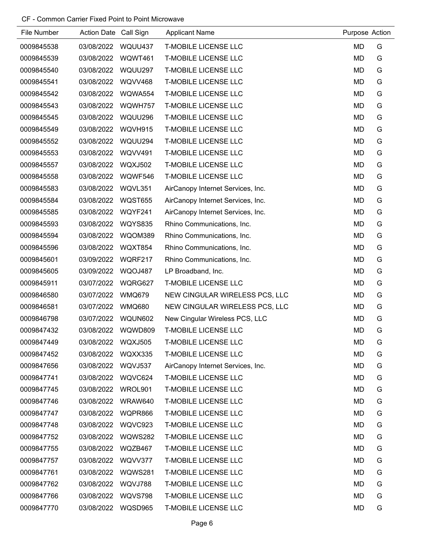| File Number | Action Date Call Sign |                | <b>Applicant Name</b>             | Purpose Action |   |
|-------------|-----------------------|----------------|-----------------------------------|----------------|---|
| 0009845538  | 03/08/2022            | WQUU437        | <b>T-MOBILE LICENSE LLC</b>       | <b>MD</b>      | G |
| 0009845539  | 03/08/2022            | WQWT461        | <b>T-MOBILE LICENSE LLC</b>       | <b>MD</b>      | G |
| 0009845540  | 03/08/2022            | WQUU297        | <b>T-MOBILE LICENSE LLC</b>       | <b>MD</b>      | G |
| 0009845541  | 03/08/2022            | <b>WQVV468</b> | <b>T-MOBILE LICENSE LLC</b>       | <b>MD</b>      | G |
| 0009845542  | 03/08/2022            | WQWA554        | <b>T-MOBILE LICENSE LLC</b>       | <b>MD</b>      | G |
| 0009845543  | 03/08/2022            | WQWH757        | <b>T-MOBILE LICENSE LLC</b>       | <b>MD</b>      | G |
| 0009845545  | 03/08/2022            | WQUU296        | <b>T-MOBILE LICENSE LLC</b>       | <b>MD</b>      | G |
| 0009845549  | 03/08/2022            | WQVH915        | <b>T-MOBILE LICENSE LLC</b>       | <b>MD</b>      | G |
| 0009845552  | 03/08/2022            | WQUU294        | <b>T-MOBILE LICENSE LLC</b>       | <b>MD</b>      | G |
| 0009845553  | 03/08/2022            | WQVV491        | <b>T-MOBILE LICENSE LLC</b>       | MD             | G |
| 0009845557  | 03/08/2022            | <b>WQXJ502</b> | <b>T-MOBILE LICENSE LLC</b>       | <b>MD</b>      | G |
| 0009845558  | 03/08/2022            | WQWF546        | <b>T-MOBILE LICENSE LLC</b>       | <b>MD</b>      | G |
| 0009845583  | 03/08/2022            | WQVL351        | AirCanopy Internet Services, Inc. | MD             | G |
| 0009845584  | 03/08/2022            | <b>WQST655</b> | AirCanopy Internet Services, Inc. | <b>MD</b>      | G |
| 0009845585  | 03/08/2022            | WQYF241        | AirCanopy Internet Services, Inc. | <b>MD</b>      | G |
| 0009845593  | 03/08/2022            | <b>WQYS835</b> | Rhino Communications, Inc.        | <b>MD</b>      | G |
| 0009845594  | 03/08/2022            | WQOM389        | Rhino Communications, Inc.        | MD             | G |
| 0009845596  | 03/08/2022            | WQXT854        | Rhino Communications, Inc.        | <b>MD</b>      | G |
| 0009845601  | 03/09/2022            | WQRF217        | Rhino Communications, Inc.        | <b>MD</b>      | G |
| 0009845605  | 03/09/2022            | WQOJ487        | LP Broadband, Inc.                | <b>MD</b>      | G |
| 0009845911  | 03/07/2022            | WQRG627        | <b>T-MOBILE LICENSE LLC</b>       | MD             | G |
| 0009846580  | 03/07/2022            | <b>WMQ679</b>  | NEW CINGULAR WIRELESS PCS, LLC    | <b>MD</b>      | G |
| 0009846581  | 03/07/2022            | <b>WMQ680</b>  | NEW CINGULAR WIRELESS PCS, LLC    | <b>MD</b>      | G |
| 0009846798  | 03/07/2022            | WQUN602        | New Cingular Wireless PCS, LLC    | <b>MD</b>      | G |
| 0009847432  | 03/08/2022            | WQWD809        | <b>T-MOBILE LICENSE LLC</b>       | <b>MD</b>      | G |
| 0009847449  | 03/08/2022            | <b>WQXJ505</b> | <b>T-MOBILE LICENSE LLC</b>       | <b>MD</b>      | G |
| 0009847452  | 03/08/2022            | WQXX335        | <b>T-MOBILE LICENSE LLC</b>       | <b>MD</b>      | G |
| 0009847656  | 03/08/2022            | WQVJ537        | AirCanopy Internet Services, Inc. | MD             | G |
| 0009847741  | 03/08/2022            | WQVC624        | <b>T-MOBILE LICENSE LLC</b>       | <b>MD</b>      | G |
| 0009847745  | 03/08/2022            | WROL901        | <b>T-MOBILE LICENSE LLC</b>       | MD             | G |
| 0009847746  | 03/08/2022            | WRAW640        | <b>T-MOBILE LICENSE LLC</b>       | <b>MD</b>      | G |
| 0009847747  | 03/08/2022            | WQPR866        | <b>T-MOBILE LICENSE LLC</b>       | MD             | G |
| 0009847748  | 03/08/2022            | WQVC923        | <b>T-MOBILE LICENSE LLC</b>       | <b>MD</b>      | G |
| 0009847752  | 03/08/2022            | WQWS282        | <b>T-MOBILE LICENSE LLC</b>       | <b>MD</b>      | G |
| 0009847755  | 03/08/2022            | WQZB467        | <b>T-MOBILE LICENSE LLC</b>       | <b>MD</b>      | G |
| 0009847757  | 03/08/2022            | WQVV377        | <b>T-MOBILE LICENSE LLC</b>       | MD             | G |
| 0009847761  | 03/08/2022            | WQWS281        | <b>T-MOBILE LICENSE LLC</b>       | MD             | G |
| 0009847762  | 03/08/2022            | WQVJ788        | <b>T-MOBILE LICENSE LLC</b>       | <b>MD</b>      | G |
| 0009847766  | 03/08/2022            | WQVS798        | <b>T-MOBILE LICENSE LLC</b>       | MD             | G |
| 0009847770  | 03/08/2022            | WQSD965        | <b>T-MOBILE LICENSE LLC</b>       | <b>MD</b>      | G |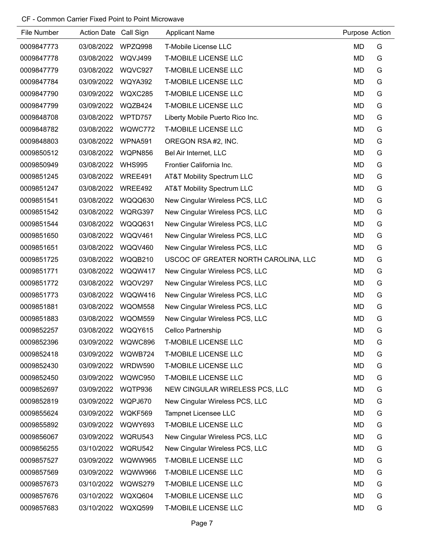| File Number | Action Date Call Sign |               | <b>Applicant Name</b>                | Purpose Action |   |
|-------------|-----------------------|---------------|--------------------------------------|----------------|---|
| 0009847773  | 03/08/2022            | WPZQ998       | <b>T-Mobile License LLC</b>          | MD             | G |
| 0009847778  | 03/08/2022            | WQVJ499       | <b>T-MOBILE LICENSE LLC</b>          | MD             | G |
| 0009847779  | 03/08/2022            | WQVC927       | <b>T-MOBILE LICENSE LLC</b>          | MD             | G |
| 0009847784  | 03/09/2022            | WQYA392       | <b>T-MOBILE LICENSE LLC</b>          | MD             | G |
| 0009847790  | 03/09/2022            | WQXC285       | <b>T-MOBILE LICENSE LLC</b>          | MD             | G |
| 0009847799  | 03/09/2022            | WQZB424       | <b>T-MOBILE LICENSE LLC</b>          | MD             | G |
| 0009848708  | 03/08/2022            | WPTD757       | Liberty Mobile Puerto Rico Inc.      | MD             | G |
| 0009848782  | 03/08/2022            | WQWC772       | <b>T-MOBILE LICENSE LLC</b>          | MD             | G |
| 0009848803  | 03/08/2022            | WPNA591       | OREGON RSA #2, INC.                  | MD             | G |
| 0009850512  | 03/08/2022            | WQPN856       | Bel Air Internet, LLC                | MD             | G |
| 0009850949  | 03/08/2022            | <b>WHS995</b> | Frontier California Inc.             | MD             | G |
| 0009851245  | 03/08/2022            | WREE491       | AT&T Mobility Spectrum LLC           | MD             | G |
| 0009851247  | 03/08/2022            | WREE492       | AT&T Mobility Spectrum LLC           | MD             | G |
| 0009851541  | 03/08/2022            | WQQQ630       | New Cingular Wireless PCS, LLC       | MD             | G |
| 0009851542  | 03/08/2022            | WQRG397       | New Cingular Wireless PCS, LLC       | MD             | G |
| 0009851544  | 03/08/2022            | WQQQ631       | New Cingular Wireless PCS, LLC       | MD             | G |
| 0009851650  | 03/08/2022            | WQQV461       | New Cingular Wireless PCS, LLC       | MD             | G |
| 0009851651  | 03/08/2022            | WQQV460       | New Cingular Wireless PCS, LLC       | MD             | G |
| 0009851725  | 03/08/2022            | WQQB210       | USCOC OF GREATER NORTH CAROLINA, LLC | MD             | G |
| 0009851771  | 03/08/2022            | WQQW417       | New Cingular Wireless PCS, LLC       | MD             | G |
| 0009851772  | 03/08/2022            | WQOV297       | New Cingular Wireless PCS, LLC       | MD             | G |
| 0009851773  | 03/08/2022            | WQQW416       | New Cingular Wireless PCS, LLC       | MD             | G |
| 0009851881  | 03/08/2022            | WQOM558       | New Cingular Wireless PCS, LLC       | MD             | G |
| 0009851883  | 03/08/2022            | WQOM559       | New Cingular Wireless PCS, LLC       | <b>MD</b>      | G |
| 0009852257  | 03/08/2022            | WQQY615       | Cellco Partnership                   | <b>MD</b>      | G |
| 0009852396  | 03/09/2022            | WQWC896       | <b>T-MOBILE LICENSE LLC</b>          | MD             | G |
| 0009852418  | 03/09/2022 WQWB724    |               | <b>T-MOBILE LICENSE LLC</b>          | MD             | G |
| 0009852430  | 03/09/2022            | WRDW590       | <b>T-MOBILE LICENSE LLC</b>          | MD             | G |
| 0009852450  | 03/09/2022            | WQWC950       | <b>T-MOBILE LICENSE LLC</b>          | MD             | G |
| 0009852697  | 03/09/2022            | WQTP936       | NEW CINGULAR WIRELESS PCS, LLC       | MD             | G |
| 0009852819  | 03/09/2022            | WQPJ670       | New Cingular Wireless PCS, LLC       | MD             | G |
| 0009855624  | 03/09/2022            | WQKF569       | <b>Tampnet Licensee LLC</b>          | MD             | G |
| 0009855892  | 03/09/2022            | WQWY693       | <b>T-MOBILE LICENSE LLC</b>          | MD             | G |
| 0009856067  | 03/09/2022            | WQRU543       | New Cingular Wireless PCS, LLC       | MD             | G |
| 0009856255  | 03/10/2022            | WQRU542       | New Cingular Wireless PCS, LLC       | MD             | G |
| 0009857527  | 03/09/2022            | WQWW965       | <b>T-MOBILE LICENSE LLC</b>          | MD             | G |
| 0009857569  | 03/09/2022            | WQWW966       | <b>T-MOBILE LICENSE LLC</b>          | MD             | G |
| 0009857673  | 03/10/2022            | WQWS279       | <b>T-MOBILE LICENSE LLC</b>          | MD             | G |
| 0009857676  | 03/10/2022            | WQXQ604       | <b>T-MOBILE LICENSE LLC</b>          | MD             | G |
| 0009857683  | 03/10/2022            | WQXQ599       | <b>T-MOBILE LICENSE LLC</b>          | MD             | G |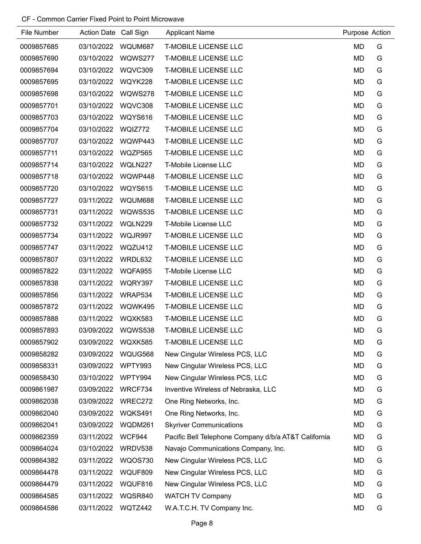| File Number | Action Date Call Sign |                | <b>Applicant Name</b>                                | Purpose Action |   |
|-------------|-----------------------|----------------|------------------------------------------------------|----------------|---|
| 0009857685  | 03/10/2022            | WQUM687        | <b>T-MOBILE LICENSE LLC</b>                          | MD             | G |
| 0009857690  | 03/10/2022            | WQWS277        | <b>T-MOBILE LICENSE LLC</b>                          | <b>MD</b>      | G |
| 0009857694  | 03/10/2022            | WQVC309        | <b>T-MOBILE LICENSE LLC</b>                          | MD             | G |
| 0009857695  | 03/10/2022            | WQYK228        | <b>T-MOBILE LICENSE LLC</b>                          | <b>MD</b>      | G |
| 0009857698  | 03/10/2022            | WQWS278        | <b>T-MOBILE LICENSE LLC</b>                          | MD             | G |
| 0009857701  | 03/10/2022            | WQVC308        | <b>T-MOBILE LICENSE LLC</b>                          | <b>MD</b>      | G |
| 0009857703  | 03/10/2022            | WQYS616        | <b>T-MOBILE LICENSE LLC</b>                          | <b>MD</b>      | G |
| 0009857704  | 03/10/2022            | WQIZ772        | <b>T-MOBILE LICENSE LLC</b>                          | <b>MD</b>      | G |
| 0009857707  | 03/10/2022            | WQWP443        | <b>T-MOBILE LICENSE LLC</b>                          | <b>MD</b>      | G |
| 0009857711  | 03/10/2022            | WQZP565        | <b>T-MOBILE LICENSE LLC</b>                          | MD             | G |
| 0009857714  | 03/10/2022            | WQLN227        | T-Mobile License LLC                                 | <b>MD</b>      | G |
| 0009857718  | 03/10/2022            | WQWP448        | <b>T-MOBILE LICENSE LLC</b>                          | <b>MD</b>      | G |
| 0009857720  | 03/10/2022            | WQYS615        | <b>T-MOBILE LICENSE LLC</b>                          | <b>MD</b>      | G |
| 0009857727  | 03/11/2022            | WQUM688        | <b>T-MOBILE LICENSE LLC</b>                          | <b>MD</b>      | G |
| 0009857731  | 03/11/2022            | <b>WQWS535</b> | <b>T-MOBILE LICENSE LLC</b>                          | <b>MD</b>      | G |
| 0009857732  | 03/11/2022            | WQLN229        | T-Mobile License LLC                                 | <b>MD</b>      | G |
| 0009857734  | 03/11/2022            | WQJR997        | <b>T-MOBILE LICENSE LLC</b>                          | MD             | G |
| 0009857747  | 03/11/2022            | WQZU412        | <b>T-MOBILE LICENSE LLC</b>                          | <b>MD</b>      | G |
| 0009857807  | 03/11/2022            | WRDL632        | <b>T-MOBILE LICENSE LLC</b>                          | MD             | G |
| 0009857822  | 03/11/2022            | <b>WQFA955</b> | T-Mobile License LLC                                 | <b>MD</b>      | G |
| 0009857838  | 03/11/2022            | WQRY397        | <b>T-MOBILE LICENSE LLC</b>                          | MD             | G |
| 0009857856  | 03/11/2022            | WRAP534        | <b>T-MOBILE LICENSE LLC</b>                          | <b>MD</b>      | G |
| 0009857872  | 03/11/2022            | WQWK495        | <b>T-MOBILE LICENSE LLC</b>                          | MD             | G |
| 0009857888  | 03/11/2022            | WQXK583        | <b>T-MOBILE LICENSE LLC</b>                          | <b>MD</b>      | G |
| 0009857893  | 03/09/2022            | WQWS538        | <b>T-MOBILE LICENSE LLC</b>                          | <b>MD</b>      | G |
| 0009857902  | 03/09/2022            | WQXK585        | <b>T-MOBILE LICENSE LLC</b>                          | <b>MD</b>      | G |
| 0009858282  | 03/09/2022            | WQUG568        | New Cingular Wireless PCS, LLC                       | MD             | G |
| 0009858331  | 03/09/2022            | WPTY993        | New Cingular Wireless PCS, LLC                       | MD             | G |
| 0009858430  | 03/10/2022            | WPTY994        | New Cingular Wireless PCS, LLC                       | MD             | G |
| 0009861987  | 03/09/2022            | WRCF734        | Inventive Wireless of Nebraska, LLC                  | MD             | G |
| 0009862038  | 03/09/2022            | WREC272        | One Ring Networks, Inc.                              | MD             | G |
| 0009862040  | 03/09/2022            | WQKS491        | One Ring Networks, Inc.                              | MD             | G |
| 0009862041  | 03/09/2022            | WQDM261        | <b>Skyriver Communications</b>                       | <b>MD</b>      | G |
| 0009862359  | 03/11/2022            | WCF944         | Pacific Bell Telephone Company d/b/a AT&T California | MD             | G |
| 0009864024  | 03/10/2022            | WRDV538        | Navajo Communications Company, Inc.                  | MD             | G |
| 0009864382  | 03/11/2022            | <b>WQOS730</b> | New Cingular Wireless PCS, LLC                       | MD             | G |
| 0009864478  | 03/11/2022            | WQUF809        | New Cingular Wireless PCS, LLC                       | MD             | G |
| 0009864479  | 03/11/2022            | WQUF816        | New Cingular Wireless PCS, LLC                       | MD             | G |
| 0009864585  | 03/11/2022            | WQSR840        | <b>WATCH TV Company</b>                              | MD             | G |
| 0009864586  | 03/11/2022            | WQTZ442        | W.A.T.C.H. TV Company Inc.                           | MD             | G |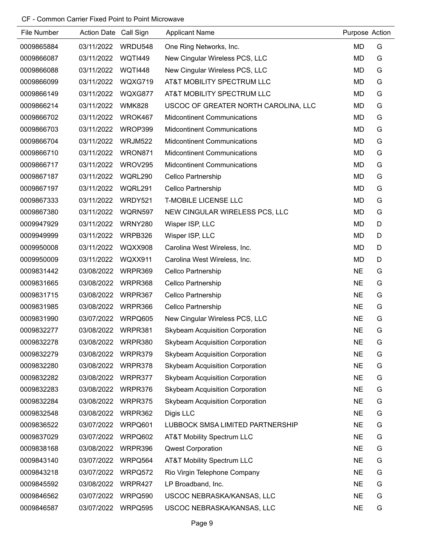| File Number | Action Date Call Sign |                | <b>Applicant Name</b>                  | Purpose Action |   |
|-------------|-----------------------|----------------|----------------------------------------|----------------|---|
| 0009865884  | 03/11/2022            | WRDU548        | One Ring Networks, Inc.                | MD             | G |
| 0009866087  | 03/11/2022            | <b>WQTI449</b> | New Cingular Wireless PCS, LLC         | MD             | G |
| 0009866088  | 03/11/2022            | <b>WQTI448</b> | New Cingular Wireless PCS, LLC         | MD             | G |
| 0009866099  | 03/11/2022            | WQXG719        | AT&T MOBILITY SPECTRUM LLC             | MD             | G |
| 0009866149  | 03/11/2022            | WQXG877        | AT&T MOBILITY SPECTRUM LLC             | MD             | G |
| 0009866214  | 03/11/2022            | <b>WMK828</b>  | USCOC OF GREATER NORTH CAROLINA, LLC   | MD             | G |
| 0009866702  | 03/11/2022            | WROK467        | <b>Midcontinent Communications</b>     | MD             | G |
| 0009866703  | 03/11/2022            | WROP399        | <b>Midcontinent Communications</b>     | MD             | G |
| 0009866704  | 03/11/2022            | <b>WRJM522</b> | <b>Midcontinent Communications</b>     | <b>MD</b>      | G |
| 0009866710  | 03/11/2022            | WRON871        | <b>Midcontinent Communications</b>     | MD             | G |
| 0009866717  | 03/11/2022            | WROV295        | <b>Midcontinent Communications</b>     | MD             | G |
| 0009867187  | 03/11/2022            | <b>WQRL290</b> | Cellco Partnership                     | MD             | G |
| 0009867197  | 03/11/2022            | WQRL291        | <b>Cellco Partnership</b>              | MD             | G |
| 0009867333  | 03/11/2022            | WRDY521        | <b>T-MOBILE LICENSE LLC</b>            | <b>MD</b>      | G |
| 0009867380  | 03/11/2022            | WQRN597        | NEW CINGULAR WIRELESS PCS, LLC         | MD             | G |
| 0009947929  | 03/11/2022            | WRNY280        | Wisper ISP, LLC                        | MD             | D |
| 0009949999  | 03/11/2022            | WRPB326        | Wisper ISP, LLC                        | MD             | D |
| 0009950008  | 03/11/2022            | <b>WQXX908</b> | Carolina West Wireless, Inc.           | <b>MD</b>      | D |
| 0009950009  | 03/11/2022            | WQXX911        | Carolina West Wireless, Inc.           | MD             | D |
| 0009831442  | 03/08/2022            | WRPR369        | Cellco Partnership                     | <b>NE</b>      | G |
| 0009831665  | 03/08/2022            | WRPR368        | Cellco Partnership                     | <b>NE</b>      | G |
| 0009831715  | 03/08/2022            | WRPR367        | Cellco Partnership                     | <b>NE</b>      | G |
| 0009831985  | 03/08/2022            | WRPR366        | Cellco Partnership                     | <b>NE</b>      | G |
| 0009831990  | 03/07/2022            | WRPQ605        | New Cingular Wireless PCS, LLC         | <b>NE</b>      | G |
| 0009832277  | 03/08/2022            | WRPR381        | Skybeam Acquisition Corporation        | <b>NE</b>      | G |
| 0009832278  | 03/08/2022            | WRPR380        | <b>Skybeam Acquisition Corporation</b> | <b>NE</b>      | G |
| 0009832279  | 03/08/2022            | WRPR379        | <b>Skybeam Acquisition Corporation</b> | <b>NE</b>      | G |
| 0009832280  | 03/08/2022            | WRPR378        | <b>Skybeam Acquisition Corporation</b> | <b>NE</b>      | G |
| 0009832282  | 03/08/2022            | WRPR377        | <b>Skybeam Acquisition Corporation</b> | <b>NE</b>      | G |
| 0009832283  | 03/08/2022            | WRPR376        | <b>Skybeam Acquisition Corporation</b> | <b>NE</b>      | G |
| 0009832284  | 03/08/2022            | WRPR375        | <b>Skybeam Acquisition Corporation</b> | <b>NE</b>      | G |
| 0009832548  | 03/08/2022            | WRPR362        | Digis LLC                              | <b>NE</b>      | G |
| 0009836522  | 03/07/2022            | WRPQ601        | LUBBOCK SMSA LIMITED PARTNERSHIP       | <b>NE</b>      | G |
| 0009837029  | 03/07/2022            | WRPQ602        | <b>AT&amp;T Mobility Spectrum LLC</b>  | <b>NE</b>      | G |
| 0009838168  | 03/08/2022            | WRPR396        | <b>Qwest Corporation</b>               | <b>NE</b>      | G |
| 0009843140  | 03/07/2022            | WRPQ564        | AT&T Mobility Spectrum LLC             | <b>NE</b>      | G |
| 0009843218  | 03/07/2022            | WRPQ572        | Rio Virgin Telephone Company           | <b>NE</b>      | G |
| 0009845592  | 03/08/2022            | WRPR427        | LP Broadband, Inc.                     | <b>NE</b>      | G |
| 0009846562  | 03/07/2022            | WRPQ590        | USCOC NEBRASKA/KANSAS, LLC             | <b>NE</b>      | G |
| 0009846587  | 03/07/2022            | WRPQ595        | USCOC NEBRASKA/KANSAS, LLC             | <b>NE</b>      | G |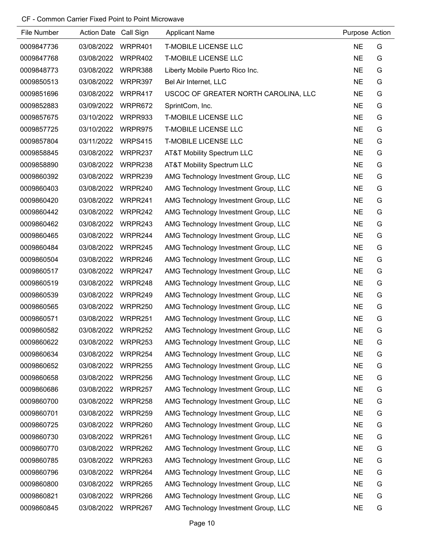| File Number | Action Date Call Sign |                | <b>Applicant Name</b>                | Purpose Action |   |
|-------------|-----------------------|----------------|--------------------------------------|----------------|---|
| 0009847736  | 03/08/2022            | WRPR401        | <b>T-MOBILE LICENSE LLC</b>          | <b>NE</b>      | G |
| 0009847768  | 03/08/2022            | WRPR402        | <b>T-MOBILE LICENSE LLC</b>          | <b>NE</b>      | G |
| 0009848773  | 03/08/2022            | WRPR388        | Liberty Mobile Puerto Rico Inc.      | <b>NE</b>      | G |
| 0009850513  | 03/08/2022            | WRPR397        | Bel Air Internet, LLC                | <b>NE</b>      | G |
| 0009851696  | 03/08/2022            | WRPR417        | USCOC OF GREATER NORTH CAROLINA, LLC | <b>NE</b>      | G |
| 0009852883  | 03/09/2022            | WRPR672        | SprintCom, Inc.                      | <b>NE</b>      | G |
| 0009857675  | 03/10/2022            | WRPR933        | <b>T-MOBILE LICENSE LLC</b>          | <b>NE</b>      | G |
| 0009857725  | 03/10/2022            | WRPR975        | <b>T-MOBILE LICENSE LLC</b>          | <b>NE</b>      | G |
| 0009857804  | 03/11/2022            | <b>WRPS415</b> | <b>T-MOBILE LICENSE LLC</b>          | <b>NE</b>      | G |
| 0009858845  | 03/08/2022            | WRPR237        | AT&T Mobility Spectrum LLC           | <b>NE</b>      | G |
| 0009858890  | 03/08/2022            | WRPR238        | AT&T Mobility Spectrum LLC           | <b>NE</b>      | G |
| 0009860392  | 03/08/2022            | WRPR239        | AMG Technology Investment Group, LLC | <b>NE</b>      | G |
| 0009860403  | 03/08/2022            | WRPR240        | AMG Technology Investment Group, LLC | <b>NE</b>      | G |
| 0009860420  | 03/08/2022            | WRPR241        | AMG Technology Investment Group, LLC | <b>NE</b>      | G |
| 0009860442  | 03/08/2022            | WRPR242        | AMG Technology Investment Group, LLC | <b>NE</b>      | G |
| 0009860462  | 03/08/2022            | WRPR243        | AMG Technology Investment Group, LLC | <b>NE</b>      | G |
| 0009860465  | 03/08/2022            | WRPR244        | AMG Technology Investment Group, LLC | <b>NE</b>      | G |
| 0009860484  | 03/08/2022            | WRPR245        | AMG Technology Investment Group, LLC | <b>NE</b>      | G |
| 0009860504  | 03/08/2022            | WRPR246        | AMG Technology Investment Group, LLC | <b>NE</b>      | G |
| 0009860517  | 03/08/2022            | WRPR247        | AMG Technology Investment Group, LLC | <b>NE</b>      | G |
| 0009860519  | 03/08/2022            | WRPR248        | AMG Technology Investment Group, LLC | <b>NE</b>      | G |
| 0009860539  | 03/08/2022            | WRPR249        | AMG Technology Investment Group, LLC | <b>NE</b>      | G |
| 0009860565  | 03/08/2022            | WRPR250        | AMG Technology Investment Group, LLC | <b>NE</b>      | G |
| 0009860571  | 03/08/2022            | WRPR251        | AMG Technology Investment Group, LLC | <b>NE</b>      | G |
| 0009860582  | 03/08/2022            | WRPR252        | AMG Technology Investment Group, LLC | <b>NE</b>      | G |
| 0009860622  | 03/08/2022            | WRPR253        | AMG Technology Investment Group, LLC | <b>NE</b>      | G |
| 0009860634  | 03/08/2022            | WRPR254        | AMG Technology Investment Group, LLC | <b>NE</b>      | G |
| 0009860652  | 03/08/2022            | WRPR255        | AMG Technology Investment Group, LLC | <b>NE</b>      | G |
| 0009860658  | 03/08/2022            | WRPR256        | AMG Technology Investment Group, LLC | <b>NE</b>      | G |
| 0009860686  | 03/08/2022            | WRPR257        | AMG Technology Investment Group, LLC | <b>NE</b>      | G |
| 0009860700  | 03/08/2022            | WRPR258        | AMG Technology Investment Group, LLC | <b>NE</b>      | G |
| 0009860701  | 03/08/2022            | WRPR259        | AMG Technology Investment Group, LLC | <b>NE</b>      | G |
| 0009860725  | 03/08/2022            | WRPR260        | AMG Technology Investment Group, LLC | <b>NE</b>      | G |
| 0009860730  | 03/08/2022            | WRPR261        | AMG Technology Investment Group, LLC | <b>NE</b>      | G |
| 0009860770  | 03/08/2022            | WRPR262        | AMG Technology Investment Group, LLC | <b>NE</b>      | G |
| 0009860785  | 03/08/2022            | WRPR263        | AMG Technology Investment Group, LLC | <b>NE</b>      | G |
| 0009860796  | 03/08/2022            | WRPR264        | AMG Technology Investment Group, LLC | <b>NE</b>      | G |
| 0009860800  | 03/08/2022            | WRPR265        | AMG Technology Investment Group, LLC | <b>NE</b>      | G |
| 0009860821  | 03/08/2022            | WRPR266        | AMG Technology Investment Group, LLC | <b>NE</b>      | G |
| 0009860845  | 03/08/2022            | WRPR267        | AMG Technology Investment Group, LLC | <b>NE</b>      | G |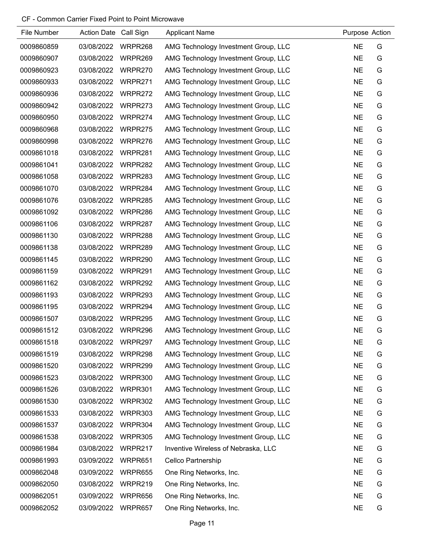| File Number | Action Date Call Sign |         | <b>Applicant Name</b>                | Purpose Action |   |
|-------------|-----------------------|---------|--------------------------------------|----------------|---|
| 0009860859  | 03/08/2022            | WRPR268 | AMG Technology Investment Group, LLC | <b>NE</b>      | G |
| 0009860907  | 03/08/2022            | WRPR269 | AMG Technology Investment Group, LLC | <b>NE</b>      | G |
| 0009860923  | 03/08/2022            | WRPR270 | AMG Technology Investment Group, LLC | <b>NE</b>      | G |
| 0009860933  | 03/08/2022            | WRPR271 | AMG Technology Investment Group, LLC | <b>NE</b>      | G |
| 0009860936  | 03/08/2022            | WRPR272 | AMG Technology Investment Group, LLC | <b>NE</b>      | G |
| 0009860942  | 03/08/2022            | WRPR273 | AMG Technology Investment Group, LLC | <b>NE</b>      | G |
| 0009860950  | 03/08/2022            | WRPR274 | AMG Technology Investment Group, LLC | <b>NE</b>      | G |
| 0009860968  | 03/08/2022            | WRPR275 | AMG Technology Investment Group, LLC | <b>NE</b>      | G |
| 0009860998  | 03/08/2022            | WRPR276 | AMG Technology Investment Group, LLC | <b>NE</b>      | G |
| 0009861018  | 03/08/2022            | WRPR281 | AMG Technology Investment Group, LLC | <b>NE</b>      | G |
| 0009861041  | 03/08/2022            | WRPR282 | AMG Technology Investment Group, LLC | <b>NE</b>      | G |
| 0009861058  | 03/08/2022            | WRPR283 | AMG Technology Investment Group, LLC | <b>NE</b>      | G |
| 0009861070  | 03/08/2022            | WRPR284 | AMG Technology Investment Group, LLC | <b>NE</b>      | G |
| 0009861076  | 03/08/2022            | WRPR285 | AMG Technology Investment Group, LLC | <b>NE</b>      | G |
| 0009861092  | 03/08/2022            | WRPR286 | AMG Technology Investment Group, LLC | <b>NE</b>      | G |
| 0009861106  | 03/08/2022            | WRPR287 | AMG Technology Investment Group, LLC | <b>NE</b>      | G |
| 0009861130  | 03/08/2022            | WRPR288 | AMG Technology Investment Group, LLC | <b>NE</b>      | G |
| 0009861138  | 03/08/2022            | WRPR289 | AMG Technology Investment Group, LLC | <b>NE</b>      | G |
| 0009861145  | 03/08/2022            | WRPR290 | AMG Technology Investment Group, LLC | <b>NE</b>      | G |
| 0009861159  | 03/08/2022            | WRPR291 | AMG Technology Investment Group, LLC | <b>NE</b>      | G |
| 0009861162  | 03/08/2022            | WRPR292 | AMG Technology Investment Group, LLC | <b>NE</b>      | G |
| 0009861193  | 03/08/2022            | WRPR293 | AMG Technology Investment Group, LLC | <b>NE</b>      | G |
| 0009861195  | 03/08/2022            | WRPR294 | AMG Technology Investment Group, LLC | <b>NE</b>      | G |
| 0009861507  | 03/08/2022            | WRPR295 | AMG Technology Investment Group, LLC | <b>NE</b>      | G |
| 0009861512  | 03/08/2022            | WRPR296 | AMG Technology Investment Group, LLC | <b>NE</b>      | G |
| 0009861518  | 03/08/2022            | WRPR297 | AMG Technology Investment Group, LLC | <b>NE</b>      | G |
| 0009861519  | 03/08/2022            | WRPR298 | AMG Technology Investment Group, LLC | <b>NE</b>      | G |
| 0009861520  | 03/08/2022            | WRPR299 | AMG Technology Investment Group, LLC | <b>NE</b>      | G |
| 0009861523  | 03/08/2022            | WRPR300 | AMG Technology Investment Group, LLC | <b>NE</b>      | G |
| 0009861526  | 03/08/2022            | WRPR301 | AMG Technology Investment Group, LLC | <b>NE</b>      | G |
| 0009861530  | 03/08/2022            | WRPR302 | AMG Technology Investment Group, LLC | <b>NE</b>      | G |
| 0009861533  | 03/08/2022            | WRPR303 | AMG Technology Investment Group, LLC | <b>NE</b>      | G |
| 0009861537  | 03/08/2022            | WRPR304 | AMG Technology Investment Group, LLC | <b>NE</b>      | G |
| 0009861538  | 03/08/2022            | WRPR305 | AMG Technology Investment Group, LLC | <b>NE</b>      | G |
| 0009861984  | 03/08/2022            | WRPR217 | Inventive Wireless of Nebraska, LLC  | <b>NE</b>      | G |
| 0009861993  | 03/09/2022            | WRPR651 | Cellco Partnership                   | <b>NE</b>      | G |
| 0009862048  | 03/09/2022            | WRPR655 | One Ring Networks, Inc.              | <b>NE</b>      | G |
| 0009862050  | 03/08/2022            | WRPR219 | One Ring Networks, Inc.              | <b>NE</b>      | G |
| 0009862051  | 03/09/2022            | WRPR656 | One Ring Networks, Inc.              | <b>NE</b>      | G |
| 0009862052  | 03/09/2022            | WRPR657 | One Ring Networks, Inc.              | <b>NE</b>      | G |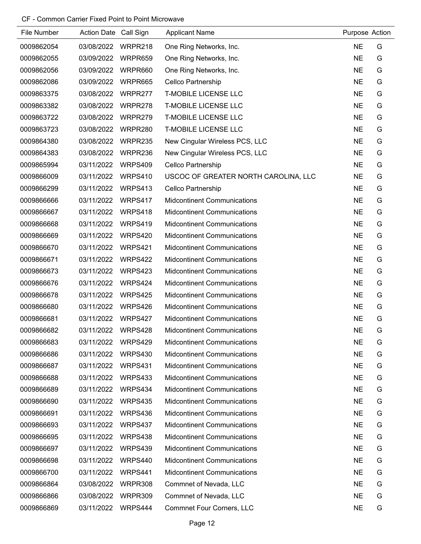| File Number | Action Date Call Sign |                | <b>Applicant Name</b>                | Purpose Action |   |
|-------------|-----------------------|----------------|--------------------------------------|----------------|---|
| 0009862054  | 03/08/2022            | WRPR218        | One Ring Networks, Inc.              | <b>NE</b>      | G |
| 0009862055  | 03/09/2022            | WRPR659        | One Ring Networks, Inc.              | <b>NE</b>      | G |
| 0009862056  | 03/09/2022            | WRPR660        | One Ring Networks, Inc.              | <b>NE</b>      | G |
| 0009862086  | 03/09/2022            | WRPR665        | Cellco Partnership                   | <b>NE</b>      | G |
| 0009863375  | 03/08/2022            | WRPR277        | <b>T-MOBILE LICENSE LLC</b>          | <b>NE</b>      | G |
| 0009863382  | 03/08/2022            | WRPR278        | <b>T-MOBILE LICENSE LLC</b>          | <b>NE</b>      | G |
| 0009863722  | 03/08/2022            | WRPR279        | <b>T-MOBILE LICENSE LLC</b>          | <b>NE</b>      | G |
| 0009863723  | 03/08/2022            | WRPR280        | <b>T-MOBILE LICENSE LLC</b>          | <b>NE</b>      | G |
| 0009864380  | 03/08/2022            | WRPR235        | New Cingular Wireless PCS, LLC       | <b>NE</b>      | G |
| 0009864383  | 03/08/2022            | WRPR236        | New Cingular Wireless PCS, LLC       | <b>NE</b>      | G |
| 0009865994  | 03/11/2022            | <b>WRPS409</b> | Cellco Partnership                   | <b>NE</b>      | G |
| 0009866009  | 03/11/2022            | WRPS410        | USCOC OF GREATER NORTH CAROLINA, LLC | <b>NE</b>      | G |
| 0009866299  | 03/11/2022            | WRPS413        | Cellco Partnership                   | <b>NE</b>      | G |
| 0009866666  | 03/11/2022            | WRPS417        | <b>Midcontinent Communications</b>   | <b>NE</b>      | G |
| 0009866667  | 03/11/2022            | WRPS418        | <b>Midcontinent Communications</b>   | <b>NE</b>      | G |
| 0009866668  | 03/11/2022            | WRPS419        | <b>Midcontinent Communications</b>   | <b>NE</b>      | G |
| 0009866669  | 03/11/2022            | WRPS420        | <b>Midcontinent Communications</b>   | <b>NE</b>      | G |
| 0009866670  | 03/11/2022            | WRPS421        | <b>Midcontinent Communications</b>   | <b>NE</b>      | G |
| 0009866671  | 03/11/2022            | WRPS422        | <b>Midcontinent Communications</b>   | <b>NE</b>      | G |
| 0009866673  | 03/11/2022            | WRPS423        | <b>Midcontinent Communications</b>   | <b>NE</b>      | G |
| 0009866676  | 03/11/2022            | WRPS424        | <b>Midcontinent Communications</b>   | <b>NE</b>      | G |
| 0009866678  | 03/11/2022            | WRPS425        | <b>Midcontinent Communications</b>   | <b>NE</b>      | G |
| 0009866680  | 03/11/2022            | WRPS426        | <b>Midcontinent Communications</b>   | <b>NE</b>      | G |
| 0009866681  | 03/11/2022            | WRPS427        | <b>Midcontinent Communications</b>   | <b>NE</b>      | G |
| 0009866682  | 03/11/2022            | WRPS428        | <b>Midcontinent Communications</b>   | <b>NE</b>      | G |
| 0009866683  | 03/11/2022            | WRPS429        | <b>Midcontinent Communications</b>   | <b>NE</b>      | G |
| 0009866686  | 03/11/2022            | WRPS430        | <b>Midcontinent Communications</b>   | <b>NE</b>      | G |
| 0009866687  | 03/11/2022            | WRPS431        | <b>Midcontinent Communications</b>   | <b>NE</b>      | G |
| 0009866688  | 03/11/2022            | WRPS433        | <b>Midcontinent Communications</b>   | <b>NE</b>      | G |
| 0009866689  | 03/11/2022            | WRPS434        | <b>Midcontinent Communications</b>   | <b>NE</b>      | G |
| 0009866690  | 03/11/2022            | <b>WRPS435</b> | <b>Midcontinent Communications</b>   | <b>NE</b>      | G |
| 0009866691  | 03/11/2022            | WRPS436        | <b>Midcontinent Communications</b>   | <b>NE</b>      | G |
| 0009866693  | 03/11/2022            | WRPS437        | <b>Midcontinent Communications</b>   | <b>NE</b>      | G |
| 0009866695  | 03/11/2022            | WRPS438        | <b>Midcontinent Communications</b>   | <b>NE</b>      | G |
| 0009866697  | 03/11/2022            | WRPS439        | <b>Midcontinent Communications</b>   | <b>NE</b>      | G |
| 0009866698  | 03/11/2022            | WRPS440        | <b>Midcontinent Communications</b>   | <b>NE</b>      | G |
| 0009866700  | 03/11/2022            | WRPS441        | <b>Midcontinent Communications</b>   | <b>NE</b>      | G |
| 0009866864  | 03/08/2022            | WRPR308        | Commnet of Nevada, LLC               | <b>NE</b>      | G |
| 0009866866  | 03/08/2022            | WRPR309        | Commnet of Nevada, LLC               | <b>NE</b>      | G |
| 0009866869  | 03/11/2022            | WRPS444        | <b>Commnet Four Corners, LLC</b>     | <b>NE</b>      | G |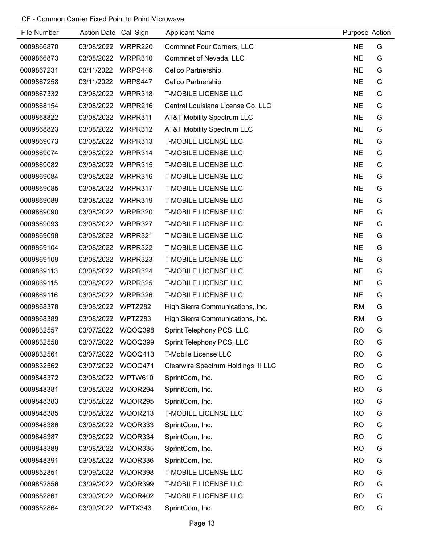| File Number | Action Date Call Sign |                | <b>Applicant Name</b>                 | Purpose Action |   |
|-------------|-----------------------|----------------|---------------------------------------|----------------|---|
| 0009866870  | 03/08/2022            | WRPR220        | <b>Commnet Four Corners, LLC</b>      | <b>NE</b>      | G |
| 0009866873  | 03/08/2022            | WRPR310        | Commnet of Nevada, LLC                | <b>NE</b>      | G |
| 0009867231  | 03/11/2022            | WRPS446        | Cellco Partnership                    | <b>NE</b>      | G |
| 0009867258  | 03/11/2022            | WRPS447        | Cellco Partnership                    | <b>NE</b>      | G |
| 0009867332  | 03/08/2022            | WRPR318        | <b>T-MOBILE LICENSE LLC</b>           | <b>NE</b>      | G |
| 0009868154  | 03/08/2022            | WRPR216        | Central Louisiana License Co, LLC     | <b>NE</b>      | G |
| 0009868822  | 03/08/2022            | WRPR311        | <b>AT&amp;T Mobility Spectrum LLC</b> | <b>NE</b>      | G |
| 0009868823  | 03/08/2022            | WRPR312        | <b>AT&amp;T Mobility Spectrum LLC</b> | <b>NE</b>      | G |
| 0009869073  | 03/08/2022            | WRPR313        | <b>T-MOBILE LICENSE LLC</b>           | <b>NE</b>      | G |
| 0009869074  | 03/08/2022            | WRPR314        | <b>T-MOBILE LICENSE LLC</b>           | <b>NE</b>      | G |
| 0009869082  | 03/08/2022            | WRPR315        | <b>T-MOBILE LICENSE LLC</b>           | <b>NE</b>      | G |
| 0009869084  | 03/08/2022            | WRPR316        | <b>T-MOBILE LICENSE LLC</b>           | <b>NE</b>      | G |
| 0009869085  | 03/08/2022            | WRPR317        | <b>T-MOBILE LICENSE LLC</b>           | <b>NE</b>      | G |
| 0009869089  | 03/08/2022            | WRPR319        | <b>T-MOBILE LICENSE LLC</b>           | <b>NE</b>      | G |
| 0009869090  | 03/08/2022            | WRPR320        | <b>T-MOBILE LICENSE LLC</b>           | <b>NE</b>      | G |
| 0009869093  | 03/08/2022            | WRPR327        | <b>T-MOBILE LICENSE LLC</b>           | <b>NE</b>      | G |
| 0009869098  | 03/08/2022            | WRPR321        | <b>T-MOBILE LICENSE LLC</b>           | <b>NE</b>      | G |
| 0009869104  | 03/08/2022            | WRPR322        | <b>T-MOBILE LICENSE LLC</b>           | <b>NE</b>      | G |
| 0009869109  | 03/08/2022            | WRPR323        | <b>T-MOBILE LICENSE LLC</b>           | <b>NE</b>      | G |
| 0009869113  | 03/08/2022            | WRPR324        | <b>T-MOBILE LICENSE LLC</b>           | <b>NE</b>      | G |
| 0009869115  | 03/08/2022            | WRPR325        | <b>T-MOBILE LICENSE LLC</b>           | <b>NE</b>      | G |
| 0009869116  | 03/08/2022            | WRPR326        | <b>T-MOBILE LICENSE LLC</b>           | <b>NE</b>      | G |
| 0009868378  | 03/08/2022            | WPTZ282        | High Sierra Communications, Inc.      | <b>RM</b>      | G |
| 0009868389  | 03/08/2022            | WPTZ283        | High Sierra Communications, Inc.      | <b>RM</b>      | G |
| 0009832557  | 03/07/2022            | WQOQ398        | Sprint Telephony PCS, LLC             | <b>RO</b>      | G |
| 0009832558  | 03/07/2022            | WQOQ399        | Sprint Telephony PCS, LLC             | <b>RO</b>      | G |
| 0009832561  | 03/07/2022            | WQOQ413        | T-Mobile License LLC                  | <b>RO</b>      | G |
| 0009832562  | 03/07/2022            | <b>WQOQ471</b> | Clearwire Spectrum Holdings III LLC   | <b>RO</b>      | G |
| 0009848372  | 03/08/2022            | WPTW610        | SprintCom, Inc.                       | <b>RO</b>      | G |
| 0009848381  | 03/08/2022            | WQOR294        | SprintCom, Inc.                       | <b>RO</b>      | G |
| 0009848383  | 03/08/2022            | WQOR295        | SprintCom, Inc.                       | <b>RO</b>      | G |
| 0009848385  | 03/08/2022            | WQOR213        | <b>T-MOBILE LICENSE LLC</b>           | <b>RO</b>      | G |
| 0009848386  | 03/08/2022            | WQOR333        | SprintCom, Inc.                       | <b>RO</b>      | G |
| 0009848387  | 03/08/2022            | WQOR334        | SprintCom, Inc.                       | <b>RO</b>      | G |
| 0009848389  | 03/08/2022            | WQOR335        | SprintCom, Inc.                       | <b>RO</b>      | G |
| 0009848391  | 03/08/2022            | WQOR336        | SprintCom, Inc.                       | <b>RO</b>      | G |
| 0009852851  | 03/09/2022            | WQOR398        | <b>T-MOBILE LICENSE LLC</b>           | <b>RO</b>      | G |
| 0009852856  | 03/09/2022            | WQOR399        | <b>T-MOBILE LICENSE LLC</b>           | <b>RO</b>      | G |
| 0009852861  | 03/09/2022            | WQOR402        | <b>T-MOBILE LICENSE LLC</b>           | <b>RO</b>      | G |
| 0009852864  | 03/09/2022            | WPTX343        | SprintCom, Inc.                       | <b>RO</b>      | G |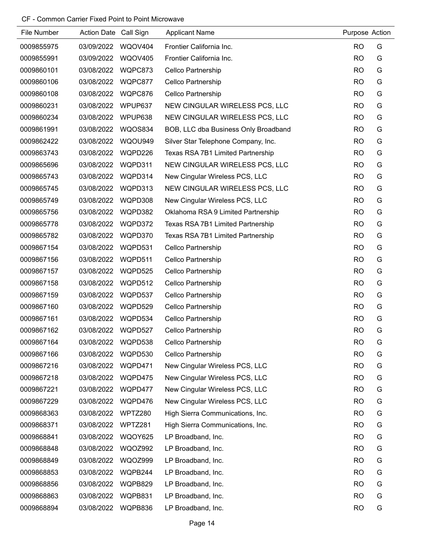| <b>File Number</b> | <b>Action Date</b> | Call Sign      | <b>Applicant Name</b>                | Purpose Action |   |
|--------------------|--------------------|----------------|--------------------------------------|----------------|---|
| 0009855975         | 03/09/2022         | WQOV404        | Frontier California Inc.             | <b>RO</b>      | G |
| 0009855991         | 03/09/2022         | <b>WQOV405</b> | Frontier California Inc.             | <b>RO</b>      | G |
| 0009860101         | 03/08/2022         | WQPC873        | Cellco Partnership                   | <b>RO</b>      | G |
| 0009860106         | 03/08/2022         | WQPC877        | Cellco Partnership                   | <b>RO</b>      | G |
| 0009860108         | 03/08/2022         | WQPC876        | Cellco Partnership                   | <b>RO</b>      | G |
| 0009860231         | 03/08/2022         | WPUP637        | NEW CINGULAR WIRELESS PCS, LLC       | <b>RO</b>      | G |
| 0009860234         | 03/08/2022         | WPUP638        | NEW CINGULAR WIRELESS PCS, LLC       | <b>RO</b>      | G |
| 0009861991         | 03/08/2022         | WQOS834        | BOB, LLC dba Business Only Broadband | <b>RO</b>      | G |
| 0009862422         | 03/08/2022         | WQOU949        | Silver Star Telephone Company, Inc.  | <b>RO</b>      | G |
| 0009863743         | 03/08/2022         | WQPD226        | Texas RSA 7B1 Limited Partnership    | <b>RO</b>      | G |
| 0009865696         | 03/08/2022         | WQPD311        | NEW CINGULAR WIRELESS PCS, LLC       | <b>RO</b>      | G |
| 0009865743         | 03/08/2022         | WQPD314        | New Cingular Wireless PCS, LLC       | <b>RO</b>      | G |
| 0009865745         | 03/08/2022         | WQPD313        | NEW CINGULAR WIRELESS PCS, LLC       | <b>RO</b>      | G |
| 0009865749         | 03/08/2022         | WQPD308        | New Cingular Wireless PCS, LLC       | <b>RO</b>      | G |
| 0009865756         | 03/08/2022         | WQPD382        | Oklahoma RSA 9 Limited Partnership   | <b>RO</b>      | G |
| 0009865778         | 03/08/2022         | WQPD372        | Texas RSA 7B1 Limited Partnership    | <b>RO</b>      | G |
| 0009865782         | 03/08/2022         | WQPD370        | Texas RSA 7B1 Limited Partnership    | <b>RO</b>      | G |
| 0009867154         | 03/08/2022         | WQPD531        | Cellco Partnership                   | <b>RO</b>      | G |
| 0009867156         | 03/08/2022         | WQPD511        | Cellco Partnership                   | <b>RO</b>      | G |
| 0009867157         | 03/08/2022         | WQPD525        | Cellco Partnership                   | <b>RO</b>      | G |
| 0009867158         | 03/08/2022         | WQPD512        | Cellco Partnership                   | <b>RO</b>      | G |
| 0009867159         | 03/08/2022         | WQPD537        | Cellco Partnership                   | <b>RO</b>      | G |
| 0009867160         | 03/08/2022         | WQPD529        | Cellco Partnership                   | <b>RO</b>      | G |
| 0009867161         | 03/08/2022         | WQPD534        | Cellco Partnership                   | <b>RO</b>      | G |
| 0009867162         | 03/08/2022         | WQPD527        | <b>Cellco Partnership</b>            | <b>RO</b>      | G |
| 0009867164         | 03/08/2022         | WQPD538        | Cellco Partnership                   | <b>RO</b>      | G |
| 0009867166         | 03/08/2022         | WQPD530        | Cellco Partnership                   | <b>RO</b>      | G |
| 0009867216         | 03/08/2022         | WQPD471        | New Cingular Wireless PCS, LLC       | <b>RO</b>      | G |
| 0009867218         | 03/08/2022         | WQPD475        | New Cingular Wireless PCS, LLC       | <b>RO</b>      | G |
| 0009867221         | 03/08/2022         | WQPD477        | New Cingular Wireless PCS, LLC       | <b>RO</b>      | G |
| 0009867229         | 03/08/2022         | WQPD476        | New Cingular Wireless PCS, LLC       | <b>RO</b>      | G |
| 0009868363         | 03/08/2022         | WPTZ280        | High Sierra Communications, Inc.     | <b>RO</b>      | G |
| 0009868371         | 03/08/2022         | WPTZ281        | High Sierra Communications, Inc.     | <b>RO</b>      | G |
| 0009868841         | 03/08/2022         | WQOY625        | LP Broadband, Inc.                   | <b>RO</b>      | G |
| 0009868848         | 03/08/2022         | <b>WQOZ992</b> | LP Broadband, Inc.                   | <b>RO</b>      | G |
| 0009868849         | 03/08/2022         | <b>WQOZ999</b> | LP Broadband, Inc.                   | <b>RO</b>      | G |
| 0009868853         | 03/08/2022         | WQPB244        | LP Broadband, Inc.                   | <b>RO</b>      | G |
| 0009868856         | 03/08/2022         | WQPB829        | LP Broadband, Inc.                   | <b>RO</b>      | G |
| 0009868863         | 03/08/2022         | WQPB831        | LP Broadband, Inc.                   | <b>RO</b>      | G |
| 0009868894         | 03/08/2022         | WQPB836        | LP Broadband, Inc.                   | <b>RO</b>      | G |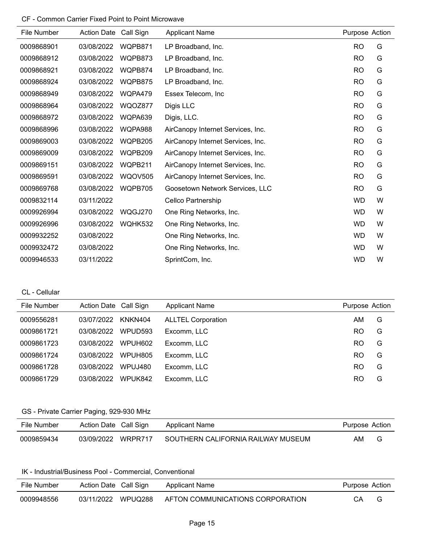| File Number | <b>Action Date</b> | Call Sign      | <b>Applicant Name</b>             | Purpose Action |   |
|-------------|--------------------|----------------|-----------------------------------|----------------|---|
| 0009868901  | 03/08/2022         | WQPB871        | LP Broadband, Inc.                | <b>RO</b>      | G |
| 0009868912  | 03/08/2022         | WQPB873        | LP Broadband, Inc.                | <b>RO</b>      | G |
| 0009868921  | 03/08/2022         | WQPB874        | LP Broadband, Inc.                | <b>RO</b>      | G |
| 0009868924  | 03/08/2022         | WQPB875        | LP Broadband, Inc.                | <b>RO</b>      | G |
| 0009868949  | 03/08/2022         | WQPA479        | Essex Telecom, Inc                | <b>RO</b>      | G |
| 0009868964  | 03/08/2022         | WQOZ877        | Digis LLC                         | <b>RO</b>      | G |
| 0009868972  | 03/08/2022         | WQPA639        | Digis, LLC.                       | <b>RO</b>      | G |
| 0009868996  | 03/08/2022         | WQPA988        | AirCanopy Internet Services, Inc. | <b>RO</b>      | G |
| 0009869003  | 03/08/2022         | WQPB205        | AirCanopy Internet Services, Inc. | <b>RO</b>      | G |
| 0009869009  | 03/08/2022         | WQPB209        | AirCanopy Internet Services, Inc. | <b>RO</b>      | G |
| 0009869151  | 03/08/2022         | WQPB211        | AirCanopy Internet Services, Inc. | <b>RO</b>      | G |
| 0009869591  | 03/08/2022         | <b>WQOV505</b> | AirCanopy Internet Services, Inc. | <b>RO</b>      | G |
| 0009869768  | 03/08/2022         | WQPB705        | Goosetown Network Services, LLC   | <b>RO</b>      | G |
| 0009832114  | 03/11/2022         |                | Cellco Partnership                | <b>WD</b>      | W |
| 0009926994  | 03/08/2022         | WQGJ270        | One Ring Networks, Inc.           | <b>WD</b>      | W |
| 0009926996  | 03/08/2022         | WQHK532        | One Ring Networks, Inc.           | <b>WD</b>      | W |
| 0009932252  | 03/08/2022         |                | One Ring Networks, Inc.           | <b>WD</b>      | W |
| 0009932472  | 03/08/2022         |                | One Ring Networks, Inc.           | <b>WD</b>      | W |
| 0009946533  | 03/11/2022         |                | SprintCom, Inc.                   | <b>WD</b>      | W |

CL - Cellular

| File Number | Action Date Call Sign |                     | <b>Applicant Name</b>     | Purpose Action |   |
|-------------|-----------------------|---------------------|---------------------------|----------------|---|
| 0009556281  | 03/07/2022            | KNKN404             | <b>ALLTEL Corporation</b> | AM             | G |
| 0009861721  | 03/08/2022            | WPUD <sub>593</sub> | Excomm, LLC               | RO             | G |
| 0009861723  | 03/08/2022            | WPUH602             | Excomm, LLC               | RO             | G |
| 0009861724  | 03/08/2022            | WPUH805             | Excomm, LLC               | RO             | G |
| 0009861728  | 03/08/2022            | WPUJ480             | Excomm, LLC               | RO             | G |
| 0009861729  | 03/08/2022            | WPUK842             | Excomm, LLC               | RO             | G |

### GS - Private Carrier Paging, 929-930 MHz

| File Number | Action Date Call Sign |         | Applicant Name                     | Purpose Action |   |
|-------------|-----------------------|---------|------------------------------------|----------------|---|
| 0009859434  | 03/09/2022            | WRPR717 | SOUTHERN CALIFORNIA RAILWAY MUSEUM | AM             | G |

### IK - Industrial/Business Pool - Commercial, Conventional

| File Number | Action Date Call Sign |         | Applicant Name                   | Purpose Action |  |
|-------------|-----------------------|---------|----------------------------------|----------------|--|
| 0009948556  | 03/11/2022            | WPUQ288 | AFTON COMMUNICATIONS CORPORATION | CА             |  |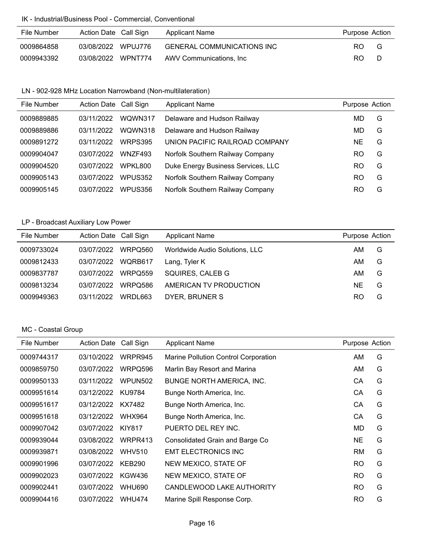### IK - Industrial/Business Pool - Commercial, Conventional

| File Number | Action Date Call Sign | Applicant Name                    | Purpose Action |   |
|-------------|-----------------------|-----------------------------------|----------------|---|
| 0009864858  | 03/08/2022 WPUJ776    | <b>GENERAL COMMUNICATIONS INC</b> | RO.            | G |
| 0009943392  | 03/08/2022 WPNT774    | AWV Communications. Inc           | RO.            |   |

### LN - 902-928 MHz Location Narrowband (Non-multilateration)

| File Number | Action Date Call Sign |                | <b>Applicant Name</b>              | Purpose Action |   |
|-------------|-----------------------|----------------|------------------------------------|----------------|---|
| 0009889885  | 03/11/2022            | WQWN317        | Delaware and Hudson Railway        | MD             | G |
| 0009889886  | 03/11/2022            | WQWN318        | Delaware and Hudson Railway        | MD             | G |
| 0009891272  | 03/11/2022            | <b>WRPS395</b> | UNION PACIFIC RAILROAD COMPANY     | NE             | G |
| 0009904047  | 03/07/2022            | WNZF493        | Norfolk Southern Railway Company   | RO             | G |
| 0009904520  | 03/07/2022            | WPKL800        | Duke Energy Business Services, LLC | RO             | G |
| 0009905143  | 03/07/2022            | WPUS352        | Norfolk Southern Railway Company   | RO             | G |
| 0009905145  | 03/07/2022            | WPUS356        | Norfolk Southern Railway Company   | RO             | G |

# LP - Broadcast Auxiliary Low Power

| File Number | Action Date Call Sign |         | <b>Applicant Name</b>          | Purpose Action |   |
|-------------|-----------------------|---------|--------------------------------|----------------|---|
| 0009733024  | 03/07/2022            | WRPQ560 | Worldwide Audio Solutions, LLC | AM             | G |
| 0009812433  | 03/07/2022            | WQRB617 | Lang, Tyler K                  | AM.            | G |
| 0009837787  | 03/07/2022            | WRPQ559 | SQUIRES, CALEB G               | AM             | G |
| 0009813234  | 03/07/2022            | WRPO586 | AMERICAN TV PRODUCTION         | <b>NE</b>      | G |
| 0009949363  | 03/11/2022            | WRDL663 | DYER, BRUNER S                 | RO             | G |

# MC - Coastal Group

| File Number | <b>Action Date</b> | Call Sign     | <b>Applicant Name</b>                | Purpose Action |   |
|-------------|--------------------|---------------|--------------------------------------|----------------|---|
| 0009744317  | 03/10/2022         | WRPR945       | Marine Pollution Control Corporation | AM             | G |
| 0009859750  | 03/07/2022         | WRPQ596       | Marlin Bay Resort and Marina         | AM             | G |
| 0009950133  | 03/11/2022         | WPUN502       | <b>BUNGE NORTH AMERICA, INC.</b>     | СA             | G |
| 0009951614  | 03/12/2022         | KU9784        | Bunge North America, Inc.            | CA             | G |
| 0009951617  | 03/12/2022         | KX7482        | Bunge North America, Inc.            | СA             | G |
| 0009951618  | 03/12/2022         | <b>WHX964</b> | Bunge North America, Inc.            | CA             | G |
| 0009907042  | 03/07/2022         | <b>KIY817</b> | PUERTO DEL REY INC.                  | MD             | G |
| 0009939044  | 03/08/2022         | WRPR413       | Consolidated Grain and Barge Co      | <b>NE</b>      | G |
| 0009939871  | 03/08/2022         | <b>WHV510</b> | <b>EMT ELECTRONICS INC</b>           | <b>RM</b>      | G |
| 0009901996  | 03/07/2022         | <b>KEB290</b> | NEW MEXICO, STATE OF                 | <b>RO</b>      | G |
| 0009902023  | 03/07/2022         | KGW436        | NEW MEXICO, STATE OF                 | <b>RO</b>      | G |
| 0009902441  | 03/07/2022         | WHU690        | CANDLEWOOD LAKE AUTHORITY            | <b>RO</b>      | G |
| 0009904416  | 03/07/2022         | <b>WHU474</b> | Marine Spill Response Corp.          | <b>RO</b>      | G |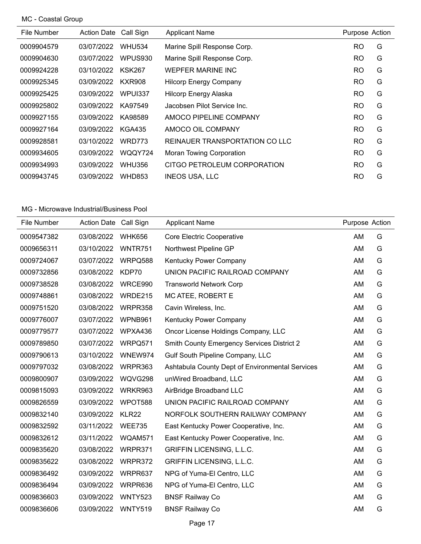# MC - Coastal Group

| File Number | <b>Action Date</b> | Call Sign     | <b>Applicant Name</b>           | Purpose Action |   |
|-------------|--------------------|---------------|---------------------------------|----------------|---|
| 0009904579  | 03/07/2022         | <b>WHU534</b> | Marine Spill Response Corp.     | <b>RO</b>      | G |
| 0009904630  | 03/07/2022         | WPUS930       | Marine Spill Response Corp.     | <b>RO</b>      | G |
| 0009924228  | 03/10/2022         | <b>KSK267</b> | <b>WEPFER MARINE INC</b>        | <b>RO</b>      | G |
| 0009925345  | 03/09/2022         | <b>KXR908</b> | <b>Hilcorp Energy Company</b>   | <b>RO</b>      | G |
| 0009925425  | 03/09/2022         | WPUR337       | Hilcorp Energy Alaska           | <b>RO</b>      | G |
| 0009925802  | 03/09/2022         | KA97549       | Jacobsen Pilot Service Inc.     | <b>RO</b>      | G |
| 0009927155  | 03/09/2022         | KA98589       | AMOCO PIPELINE COMPANY          | <b>RO</b>      | G |
| 0009927164  | 03/09/2022         | <b>KGA435</b> | AMOCO OIL COMPANY               | <b>RO</b>      | G |
| 0009928581  | 03/10/2022         | <b>WRD773</b> | REINAUER TRANSPORTATION CO LLC  | <b>RO</b>      | G |
| 0009934605  | 03/09/2022         | WQQY724       | <b>Moran Towing Corporation</b> | <b>RO</b>      | G |
| 0009934993  | 03/09/2022         | <b>WHU356</b> | CITGO PETROLEUM CORPORATION     | <b>RO</b>      | G |
| 0009943745  | 03/09/2022         | <b>WHD853</b> | <b>INEOS USA, LLC</b>           | <b>RO</b>      | G |

| File Number | Action Date Call Sign |                | <b>Applicant Name</b>                             | Purpose Action |   |
|-------------|-----------------------|----------------|---------------------------------------------------|----------------|---|
| 0009547382  | 03/08/2022            | <b>WHK656</b>  | <b>Core Electric Cooperative</b>                  | AM             | G |
| 0009656311  | 03/10/2022            | WNTR751        | Northwest Pipeline GP                             | AM             | G |
| 0009724067  | 03/07/2022            | WRPQ588        | Kentucky Power Company                            | AM             | G |
| 0009732856  | 03/08/2022            | KDP70          | UNION PACIFIC RAILROAD COMPANY                    | AM             | G |
| 0009738528  | 03/08/2022            | WRCE990        | <b>Transworld Network Corp</b>                    | AM             | G |
| 0009748861  | 03/08/2022            | WRDE215        | MC ATEE, ROBERT E                                 | AM             | G |
| 0009751520  | 03/08/2022            | WRPR358        | Cavin Wireless, Inc.                              | AM             | G |
| 0009776007  | 03/07/2022            | WPNB961        | Kentucky Power Company                            | AM             | G |
| 0009779577  | 03/07/2022            | WPXA436        | Oncor License Holdings Company, LLC               | AM             | G |
| 0009789850  | 03/07/2022            | WRPQ571        | <b>Smith County Emergency Services District 2</b> | AM             | G |
| 0009790613  | 03/10/2022            | WNEW974        | Gulf South Pipeline Company, LLC                  | AM             | G |
| 0009797032  | 03/08/2022            | WRPR363        | Ashtabula County Dept of Environmental Services   | AM             | G |
| 0009800907  | 03/09/2022            | WQVG298        | unWired Broadband, LLC                            | AM             | G |
| 0009815093  | 03/09/2022            | WRKR963        | AirBridge Broadband LLC                           | AM             | G |
| 0009826559  | 03/09/2022            | WPOT588        | UNION PACIFIC RAILROAD COMPANY                    | AM             | G |
| 0009832140  | 03/09/2022            | KLR22          | NORFOLK SOUTHERN RAILWAY COMPANY                  | AM             | G |
| 0009832592  | 03/11/2022            | <b>WEE735</b>  | East Kentucky Power Cooperative, Inc.             | AM             | G |
| 0009832612  | 03/11/2022            | WQAM571        | East Kentucky Power Cooperative, Inc.             | AM             | G |
| 0009835620  | 03/08/2022            | WRPR371        | <b>GRIFFIN LICENSING, L.L.C.</b>                  | AM             | G |
| 0009835622  | 03/08/2022            | WRPR372        | GRIFFIN LICENSING, L.L.C.                         | AM             | G |
| 0009836492  | 03/09/2022            | WRPR637        | NPG of Yuma-El Centro, LLC                        | AM             | G |
| 0009836494  | 03/09/2022            | WRPR636        | NPG of Yuma-El Centro, LLC                        | AM             | G |
| 0009836603  | 03/09/2022            | <b>WNTY523</b> | <b>BNSF Railway Co</b>                            | AM             | G |
| 0009836606  | 03/09/2022            | WNTY519        | <b>BNSF Railway Co</b>                            | AM             | G |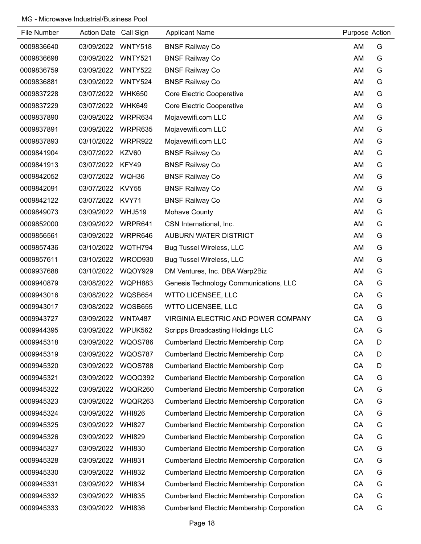| File Number | <b>Action Date</b> | Call Sign      | <b>Applicant Name</b>                             | Purpose Action |   |
|-------------|--------------------|----------------|---------------------------------------------------|----------------|---|
| 0009836640  | 03/09/2022         | WNTY518        | <b>BNSF Railway Co</b>                            | AM             | G |
| 0009836698  | 03/09/2022         | <b>WNTY521</b> | <b>BNSF Railway Co</b>                            | AM             | G |
| 0009836759  | 03/09/2022         | <b>WNTY522</b> | <b>BNSF Railway Co</b>                            | AM             | G |
| 0009836881  | 03/09/2022         | <b>WNTY524</b> | <b>BNSF Railway Co</b>                            | AM             | G |
| 0009837228  | 03/07/2022         | <b>WHK650</b>  | Core Electric Cooperative                         | AM             | G |
| 0009837229  | 03/07/2022         | <b>WHK649</b>  | Core Electric Cooperative                         | AM             | G |
| 0009837890  | 03/09/2022         | WRPR634        | Mojavewifi.com LLC                                | AM             | G |
| 0009837891  | 03/09/2022         | WRPR635        | Mojavewifi.com LLC                                | AM             | G |
| 0009837893  | 03/10/2022         | WRPR922        | Mojavewifi.com LLC                                | AM             | G |
| 0009841904  | 03/07/2022         | KZV60          | <b>BNSF Railway Co</b>                            | AM             | G |
| 0009841913  | 03/07/2022         | KFY49          | <b>BNSF Railway Co</b>                            | AM             | G |
| 0009842052  | 03/07/2022         | WQH36          | <b>BNSF Railway Co</b>                            | AM             | G |
| 0009842091  | 03/07/2022         | <b>KVY55</b>   | <b>BNSF Railway Co</b>                            | AM             | G |
| 0009842122  | 03/07/2022         | KVY71          | <b>BNSF Railway Co</b>                            | AM             | G |
| 0009849073  | 03/09/2022         | <b>WHJ519</b>  | Mohave County                                     | AM             | G |
| 0009852000  | 03/09/2022         | WRPR641        | CSN International, Inc.                           | AM             | G |
| 0009856561  | 03/09/2022         | WRPR646        | AUBURN WATER DISTRICT                             | AM             | G |
| 0009857436  | 03/10/2022         | WQTH794        | <b>Bug Tussel Wireless, LLC</b>                   | AM             | G |
| 0009857611  | 03/10/2022         | WROD930        | <b>Bug Tussel Wireless, LLC</b>                   | AM             | G |
| 0009937688  | 03/10/2022         | <b>WQOY929</b> | DM Ventures, Inc. DBA Warp2Biz                    | AM             | G |
| 0009940879  | 03/08/2022         | WQPH883        | Genesis Technology Communications, LLC            | CA             | G |
| 0009943016  | 03/08/2022         | WQSB654        | <b>WTTO LICENSEE, LLC</b>                         | CA             | G |
| 0009943017  | 03/08/2022         | WQSB655        | <b>WTTO LICENSEE, LLC</b>                         | CA             | G |
| 0009943727  | 03/09/2022         | WNTA487        | VIRGINIA ELECTRIC AND POWER COMPANY               | CA             | G |
| 0009944395  | 03/09/2022         | WPUK562        | <b>Scripps Broadcasting Holdings LLC</b>          | CA             | G |
| 0009945318  | 03/09/2022         | <b>WQOS786</b> | <b>Cumberland Electric Membership Corp</b>        | CA             | D |
| 0009945319  | 03/09/2022         | <b>WQOS787</b> | <b>Cumberland Electric Membership Corp</b>        | CA             | D |
| 0009945320  | 03/09/2022         | <b>WQOS788</b> | <b>Cumberland Electric Membership Corp</b>        | CA             | D |
| 0009945321  | 03/09/2022         | WQQQ392        | <b>Cumberland Electric Membership Corporation</b> | CA             | G |
| 0009945322  | 03/09/2022         | WQQR260        | <b>Cumberland Electric Membership Corporation</b> | CA             | G |
| 0009945323  | 03/09/2022         | WQQR263        | <b>Cumberland Electric Membership Corporation</b> | CA             | G |
| 0009945324  | 03/09/2022         | <b>WHI826</b>  | <b>Cumberland Electric Membership Corporation</b> | CA             | G |
| 0009945325  | 03/09/2022         | <b>WHI827</b>  | <b>Cumberland Electric Membership Corporation</b> | CA             | G |
| 0009945326  | 03/09/2022         | <b>WHI829</b>  | <b>Cumberland Electric Membership Corporation</b> | CA             | G |
| 0009945327  | 03/09/2022         | <b>WHI830</b>  | <b>Cumberland Electric Membership Corporation</b> | CA             | G |
| 0009945328  | 03/09/2022         | <b>WHI831</b>  | <b>Cumberland Electric Membership Corporation</b> | CA             | G |
| 0009945330  | 03/09/2022         | <b>WHI832</b>  | <b>Cumberland Electric Membership Corporation</b> | CA             | G |
| 0009945331  | 03/09/2022         | <b>WHI834</b>  | <b>Cumberland Electric Membership Corporation</b> | CA             | G |
| 0009945332  | 03/09/2022         | <b>WHI835</b>  | <b>Cumberland Electric Membership Corporation</b> | CA             | G |
| 0009945333  | 03/09/2022         | <b>WHI836</b>  | <b>Cumberland Electric Membership Corporation</b> | CA             | G |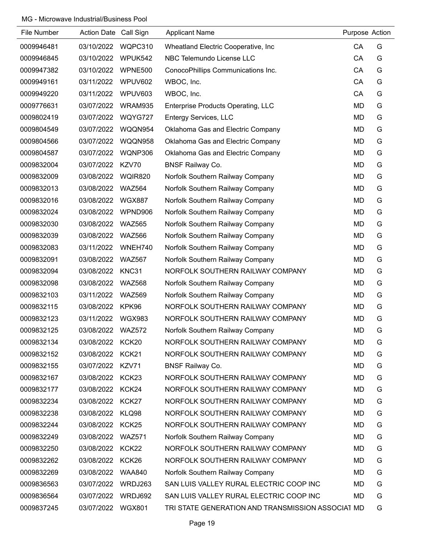| File Number | Action Date Call Sign |                   | <b>Applicant Name</b>                             | Purpose Action |   |
|-------------|-----------------------|-------------------|---------------------------------------------------|----------------|---|
| 0009946481  | 03/10/2022            | WQPC310           | Wheatland Electric Cooperative, Inc.              | CA             | G |
| 0009946845  | 03/10/2022            | WPUK542           | NBC Telemundo License LLC                         | CA             | G |
| 0009947382  | 03/10/2022            | WPNE500           | ConocoPhillips Communications Inc.                | CA             | G |
| 0009949161  | 03/11/2022            | WPUV602           | WBOC, Inc.                                        | CA             | G |
| 0009949220  | 03/11/2022            | WPUV603           | WBOC, Inc.                                        | CA             | G |
| 0009776631  | 03/07/2022            | WRAM935           | <b>Enterprise Products Operating, LLC</b>         | <b>MD</b>      | G |
| 0009802419  | 03/07/2022            | WQYG727           | <b>Entergy Services, LLC</b>                      | <b>MD</b>      | G |
| 0009804549  | 03/07/2022            | WQQN954           | Oklahoma Gas and Electric Company                 | MD             | G |
| 0009804566  | 03/07/2022            | WQQN958           | Oklahoma Gas and Electric Company                 | <b>MD</b>      | G |
| 0009804587  | 03/07/2022            | <b>WQNP306</b>    | Oklahoma Gas and Electric Company                 | <b>MD</b>      | G |
| 0009832004  | 03/07/2022            | KZV70             | <b>BNSF Railway Co.</b>                           | <b>MD</b>      | G |
| 0009832009  | 03/08/2022            | <b>WQIR820</b>    | Norfolk Southern Railway Company                  | <b>MD</b>      | G |
| 0009832013  | 03/08/2022            | <b>WAZ564</b>     | Norfolk Southern Railway Company                  | <b>MD</b>      | G |
| 0009832016  | 03/08/2022            | <b>WGX887</b>     | Norfolk Southern Railway Company                  | <b>MD</b>      | G |
| 0009832024  | 03/08/2022            | WPND906           | Norfolk Southern Railway Company                  | <b>MD</b>      | G |
| 0009832030  | 03/08/2022            | <b>WAZ565</b>     | Norfolk Southern Railway Company                  | <b>MD</b>      | G |
| 0009832039  | 03/08/2022            | <b>WAZ566</b>     | Norfolk Southern Railway Company                  | <b>MD</b>      | G |
| 0009832083  | 03/11/2022            | WNEH740           | Norfolk Southern Railway Company                  | MD             | G |
| 0009832091  | 03/08/2022            | <b>WAZ567</b>     | Norfolk Southern Railway Company                  | MD             | G |
| 0009832094  | 03/08/2022            | KNC31             | NORFOLK SOUTHERN RAILWAY COMPANY                  | <b>MD</b>      | G |
| 0009832098  | 03/08/2022            | <b>WAZ568</b>     | Norfolk Southern Railway Company                  | <b>MD</b>      | G |
| 0009832103  | 03/11/2022            | <b>WAZ569</b>     | Norfolk Southern Railway Company                  | MD             | G |
| 0009832115  | 03/08/2022            | KPK96             | NORFOLK SOUTHERN RAILWAY COMPANY                  | MD             | G |
| 0009832123  | 03/11/2022            | <b>WGX983</b>     | NORFOLK SOUTHERN RAILWAY COMPANY                  | MD             | G |
| 0009832125  | 03/08/2022            | <b>WAZ572</b>     | Norfolk Southern Railway Company                  | <b>MD</b>      | G |
| 0009832134  | 03/08/2022 KCK20      |                   | NORFOLK SOUTHERN RAILWAY COMPANY                  | MD             | G |
| 0009832152  | 03/08/2022 KCK21      |                   | NORFOLK SOUTHERN RAILWAY COMPANY                  | MD             | G |
| 0009832155  | 03/07/2022 KZV71      |                   | <b>BNSF Railway Co.</b>                           | MD             | G |
| 0009832167  | 03/08/2022            | KCK23             | NORFOLK SOUTHERN RAILWAY COMPANY                  | MD             | G |
| 0009832177  | 03/08/2022 KCK24      |                   | NORFOLK SOUTHERN RAILWAY COMPANY                  | MD             | G |
| 0009832234  | 03/08/2022 KCK27      |                   | NORFOLK SOUTHERN RAILWAY COMPANY                  | MD             | G |
| 0009832238  | 03/08/2022 KLQ98      |                   | NORFOLK SOUTHERN RAILWAY COMPANY                  | MD             | G |
| 0009832244  | 03/08/2022            | KCK <sub>25</sub> | NORFOLK SOUTHERN RAILWAY COMPANY                  | MD             | G |
| 0009832249  | 03/08/2022 WAZ571     |                   | Norfolk Southern Railway Company                  | MD             | G |
| 0009832250  | 03/08/2022 KCK22      |                   | NORFOLK SOUTHERN RAILWAY COMPANY                  | MD             | G |
| 0009832262  | 03/08/2022 KCK26      |                   | NORFOLK SOUTHERN RAILWAY COMPANY                  | MD             | G |
| 0009832269  | 03/08/2022            | <b>WAA840</b>     | Norfolk Southern Railway Company                  | MD             | G |
| 0009836563  | 03/07/2022            | WRDJ263           | SAN LUIS VALLEY RURAL ELECTRIC COOP INC           | <b>MD</b>      | G |
| 0009836564  | 03/07/2022            | WRDJ692           | SAN LUIS VALLEY RURAL ELECTRIC COOP INC           | MD             | G |
| 0009837245  | 03/07/2022            | <b>WGX801</b>     | TRI STATE GENERATION AND TRANSMISSION ASSOCIAT MD |                | G |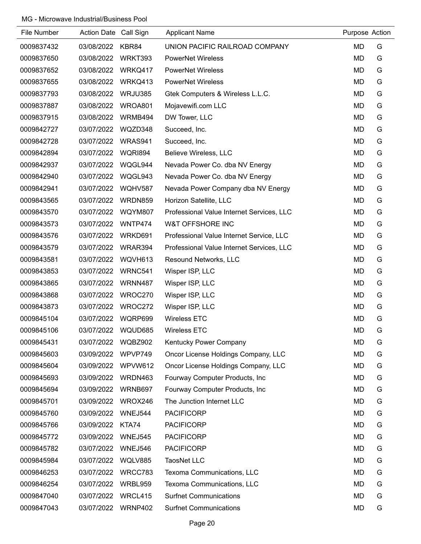| File Number | Action Date Call Sign |                | <b>Applicant Name</b>                     | Purpose Action |   |
|-------------|-----------------------|----------------|-------------------------------------------|----------------|---|
| 0009837432  | 03/08/2022            | KBR84          | UNION PACIFIC RAILROAD COMPANY            | <b>MD</b>      | G |
| 0009837650  | 03/08/2022            | WRKT393        | <b>PowerNet Wireless</b>                  | <b>MD</b>      | G |
| 0009837652  | 03/08/2022            | WRKQ417        | <b>PowerNet Wireless</b>                  | MD             | G |
| 0009837655  | 03/08/2022            | WRKQ413        | <b>PowerNet Wireless</b>                  | <b>MD</b>      | G |
| 0009837793  | 03/08/2022            | WRJU385        | Gtek Computers & Wireless L.L.C.          | MD             | G |
| 0009837887  | 03/08/2022            | WROA801        | Mojavewifi.com LLC                        | <b>MD</b>      | G |
| 0009837915  | 03/08/2022            | WRMB494        | DW Tower, LLC                             | <b>MD</b>      | G |
| 0009842727  | 03/07/2022            | WQZD348        | Succeed, Inc.                             | <b>MD</b>      | G |
| 0009842728  | 03/07/2022            | WRAS941        | Succeed, Inc.                             | <b>MD</b>      | G |
| 0009842894  | 03/07/2022            | <b>WQRI894</b> | Believe Wireless, LLC                     | MD             | G |
| 0009842937  | 03/07/2022            | WQGL944        | Nevada Power Co. dba NV Energy            | <b>MD</b>      | G |
| 0009842940  | 03/07/2022            | WQGL943        | Nevada Power Co. dba NV Energy            | MD             | G |
| 0009842941  | 03/07/2022            | <b>WQHV587</b> | Nevada Power Company dba NV Energy        | MD             | G |
| 0009843565  | 03/07/2022            | WRDN859        | Horizon Satellite, LLC                    | <b>MD</b>      | G |
| 0009843570  | 03/07/2022            | WQYM807        | Professional Value Internet Services, LLC | <b>MD</b>      | G |
| 0009843573  | 03/07/2022            | WNTP474        | <b>W&amp;T OFFSHORE INC</b>               | <b>MD</b>      | G |
| 0009843576  | 03/07/2022            | WRKD691        | Professional Value Internet Service, LLC  | <b>MD</b>      | G |
| 0009843579  | 03/07/2022            | WRAR394        | Professional Value Internet Services, LLC | <b>MD</b>      | G |
| 0009843581  | 03/07/2022            | WQVH613        | Resound Networks, LLC                     | <b>MD</b>      | G |
| 0009843853  | 03/07/2022            | WRNC541        | Wisper ISP, LLC                           | <b>MD</b>      | G |
| 0009843865  | 03/07/2022            | WRNN487        | Wisper ISP, LLC                           | MD             | G |
| 0009843868  | 03/07/2022            | WROC270        | Wisper ISP, LLC                           | <b>MD</b>      | G |
| 0009843873  | 03/07/2022            | WROC272        | Wisper ISP, LLC                           | <b>MD</b>      | G |
| 0009845104  | 03/07/2022            | WQRP699        | <b>Wireless ETC</b>                       | MD             | G |
| 0009845106  | 03/07/2022            | WQUD685        | Wireless ETC                              | <b>MD</b>      | G |
| 0009845431  | 03/07/2022            | WQBZ902        | Kentucky Power Company                    | <b>MD</b>      | G |
| 0009845603  | 03/09/2022            | WPVP749        | Oncor License Holdings Company, LLC       | <b>MD</b>      | G |
| 0009845604  | 03/09/2022            | WPVW612        | Oncor License Holdings Company, LLC       | <b>MD</b>      | G |
| 0009845693  | 03/09/2022            | WRDN463        | Fourway Computer Products, Inc            | <b>MD</b>      | G |
| 0009845694  | 03/09/2022            | WRNB697        | Fourway Computer Products, Inc            | <b>MD</b>      | G |
| 0009845701  | 03/09/2022            | WROX246        | The Junction Internet LLC                 | <b>MD</b>      | G |
| 0009845760  | 03/09/2022            | WNEJ544        | <b>PACIFICORP</b>                         | MD             | G |
| 0009845766  | 03/09/2022            | KTA74          | <b>PACIFICORP</b>                         | <b>MD</b>      | G |
| 0009845772  | 03/09/2022            | <b>WNEJ545</b> | <b>PACIFICORP</b>                         | <b>MD</b>      | G |
| 0009845782  | 03/07/2022            | WNEJ546        | <b>PACIFICORP</b>                         | <b>MD</b>      | G |
| 0009845984  | 03/07/2022            | WQLV885        | <b>TaosNet LLC</b>                        | <b>MD</b>      | G |
| 0009846253  | 03/07/2022            | WRCC783        | Texoma Communications, LLC                | <b>MD</b>      | G |
| 0009846254  | 03/07/2022            | WRBL959        | Texoma Communications, LLC                | <b>MD</b>      | G |
| 0009847040  | 03/07/2022            | WRCL415        | <b>Surfnet Communications</b>             | <b>MD</b>      | G |
| 0009847043  | 03/07/2022            | WRNP402        | <b>Surfnet Communications</b>             | <b>MD</b>      | G |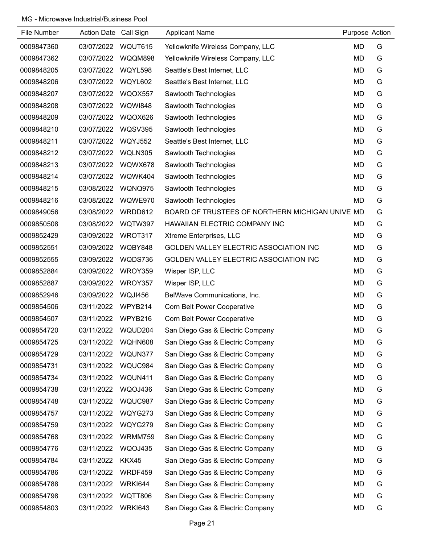| File Number | Action Date Call Sign |                | <b>Applicant Name</b>                           | Purpose Action |   |
|-------------|-----------------------|----------------|-------------------------------------------------|----------------|---|
| 0009847360  | 03/07/2022            | WQUT615        | Yellowknife Wireless Company, LLC               | <b>MD</b>      | G |
| 0009847362  | 03/07/2022            | WQQM898        | Yellowknife Wireless Company, LLC               | <b>MD</b>      | G |
| 0009848205  | 03/07/2022            | WQYL598        | Seattle's Best Internet, LLC                    | <b>MD</b>      | G |
| 0009848206  | 03/07/2022            | WQYL602        | Seattle's Best Internet, LLC                    | <b>MD</b>      | G |
| 0009848207  | 03/07/2022            | WQOX557        | Sawtooth Technologies                           | <b>MD</b>      | G |
| 0009848208  | 03/07/2022            | <b>WQWI848</b> | Sawtooth Technologies                           | <b>MD</b>      | G |
| 0009848209  | 03/07/2022            | WQOX626        | Sawtooth Technologies                           | <b>MD</b>      | G |
| 0009848210  | 03/07/2022            | <b>WQSV395</b> | Sawtooth Technologies                           | <b>MD</b>      | G |
| 0009848211  | 03/07/2022            | <b>WQYJ552</b> | Seattle's Best Internet, LLC                    | <b>MD</b>      | G |
| 0009848212  | 03/07/2022            | WQLN305        | Sawtooth Technologies                           | <b>MD</b>      | G |
| 0009848213  | 03/07/2022            | WQWX678        | Sawtooth Technologies                           | <b>MD</b>      | G |
| 0009848214  | 03/07/2022            | WQWK404        | Sawtooth Technologies                           | <b>MD</b>      | G |
| 0009848215  | 03/08/2022            | WQNQ975        | Sawtooth Technologies                           | <b>MD</b>      | G |
| 0009848216  | 03/08/2022            | WQWE970        | Sawtooth Technologies                           | MD             | G |
| 0009849056  | 03/08/2022            | WRDD612        | BOARD OF TRUSTEES OF NORTHERN MICHIGAN UNIVE MD |                | G |
| 0009850508  | 03/08/2022            | WQTW397        | HAWAIIAN ELECTRIC COMPANY INC                   | <b>MD</b>      | G |
| 0009852429  | 03/09/2022            | WROT317        | Xtreme Enterprises, LLC                         | <b>MD</b>      | G |
| 0009852551  | 03/09/2022            | WQBY848        | GOLDEN VALLEY ELECTRIC ASSOCIATION INC          | <b>MD</b>      | G |
| 0009852555  | 03/09/2022            | WQDS736        | GOLDEN VALLEY ELECTRIC ASSOCIATION INC          | MD             | G |
| 0009852884  | 03/09/2022            | WROY359        | Wisper ISP, LLC                                 | <b>MD</b>      | G |
| 0009852887  | 03/09/2022            | WROY357        | Wisper ISP, LLC                                 | <b>MD</b>      | G |
| 0009852946  | 03/09/2022            | WQJI456        | BelWave Communications, Inc.                    | <b>MD</b>      | G |
| 0009854506  | 03/11/2022            | WPYB214        | <b>Corn Belt Power Cooperative</b>              | <b>MD</b>      | G |
| 0009854507  | 03/11/2022            | WPYB216        | <b>Corn Belt Power Cooperative</b>              | <b>MD</b>      | G |
| 0009854720  | 03/11/2022            | WQUD204        | San Diego Gas & Electric Company                | MD             | G |
| 0009854725  | 03/11/2022            | WQHN608        | San Diego Gas & Electric Company                | <b>MD</b>      | G |
| 0009854729  | 03/11/2022            | WQUN377        | San Diego Gas & Electric Company                | <b>MD</b>      | G |
| 0009854731  | 03/11/2022            | WQUC984        | San Diego Gas & Electric Company                | <b>MD</b>      | G |
| 0009854734  | 03/11/2022            | WQUN411        | San Diego Gas & Electric Company                | <b>MD</b>      | G |
| 0009854738  | 03/11/2022            | WQOJ436        | San Diego Gas & Electric Company                | MD             | G |
| 0009854748  | 03/11/2022            | WQUC987        | San Diego Gas & Electric Company                | <b>MD</b>      | G |
| 0009854757  | 03/11/2022            | WQYG273        | San Diego Gas & Electric Company                | <b>MD</b>      | G |
| 0009854759  | 03/11/2022            | WQYG279        | San Diego Gas & Electric Company                | <b>MD</b>      | G |
| 0009854768  | 03/11/2022            | WRMM759        | San Diego Gas & Electric Company                | MD             | G |
| 0009854776  | 03/11/2022            | WQOJ435        | San Diego Gas & Electric Company                | <b>MD</b>      | G |
| 0009854784  | 03/11/2022            | KKX45          | San Diego Gas & Electric Company                | <b>MD</b>      | G |
| 0009854786  | 03/11/2022            | WRDF459        | San Diego Gas & Electric Company                | <b>MD</b>      | G |
| 0009854788  | 03/11/2022            | <b>WRKI644</b> | San Diego Gas & Electric Company                | <b>MD</b>      | G |
| 0009854798  | 03/11/2022            | WQTT806        | San Diego Gas & Electric Company                | <b>MD</b>      | G |
| 0009854803  | 03/11/2022            | <b>WRKI643</b> | San Diego Gas & Electric Company                | MD             | G |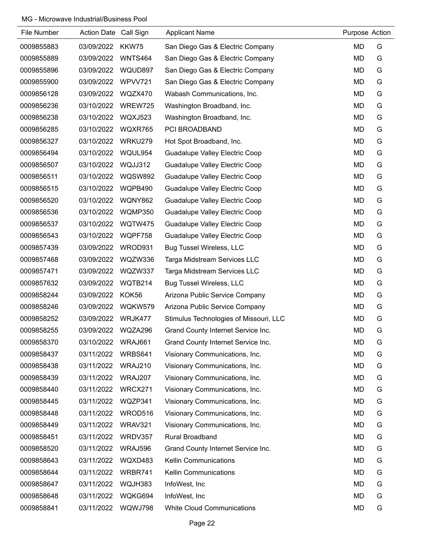| File Number | Action Date Call Sign |                | <b>Applicant Name</b>                  | Purpose Action |   |
|-------------|-----------------------|----------------|----------------------------------------|----------------|---|
| 0009855883  | 03/09/2022            | KKW75          | San Diego Gas & Electric Company       | <b>MD</b>      | G |
| 0009855889  | 03/09/2022            | <b>WNTS464</b> | San Diego Gas & Electric Company       | <b>MD</b>      | G |
| 0009855896  | 03/09/2022            | WQUD897        | San Diego Gas & Electric Company       | MD             | G |
| 0009855900  | 03/09/2022            | WPVV721        | San Diego Gas & Electric Company       | MD             | G |
| 0009856128  | 03/09/2022            | WQZX470        | Wabash Communications, Inc.            | <b>MD</b>      | G |
| 0009856236  | 03/10/2022            | WREW725        | Washington Broadband, Inc.             | MD             | G |
| 0009856238  | 03/10/2022            | WQXJ523        | Washington Broadband, Inc.             | <b>MD</b>      | G |
| 0009856285  | 03/10/2022            | WQXR765        | PCI BROADBAND                          | MD             | G |
| 0009856327  | 03/10/2022            | WRKU279        | Hot Spot Broadband, Inc.               | <b>MD</b>      | G |
| 0009856494  | 03/10/2022            | WQUL954        | Guadalupe Valley Electric Coop         | <b>MD</b>      | G |
| 0009856507  | 03/10/2022            | WQJJ312        | Guadalupe Valley Electric Coop         | MD             | G |
| 0009856511  | 03/10/2022            | <b>WQSW892</b> | <b>Guadalupe Valley Electric Coop</b>  | MD             | G |
| 0009856515  | 03/10/2022            | WQPB490        | Guadalupe Valley Electric Coop         | MD             | G |
| 0009856520  | 03/10/2022            | WQNY862        | Guadalupe Valley Electric Coop         | <b>MD</b>      | G |
| 0009856536  | 03/10/2022            | WQMP350        | Guadalupe Valley Electric Coop         | MD             | G |
| 0009856537  | 03/10/2022            | WQTW475        | Guadalupe Valley Electric Coop         | MD             | G |
| 0009856543  | 03/10/2022            | WQPF758        | Guadalupe Valley Electric Coop         | MD             | G |
| 0009857439  | 03/09/2022            | WROD931        | <b>Bug Tussel Wireless, LLC</b>        | <b>MD</b>      | G |
| 0009857468  | 03/09/2022            | WQZW336        | Targa Midstream Services LLC           | MD             | G |
| 0009857471  | 03/09/2022            | WQZW337        | Targa Midstream Services LLC           | <b>MD</b>      | G |
| 0009857632  | 03/09/2022            | WQTB214        | <b>Bug Tussel Wireless, LLC</b>        | MD             | G |
| 0009858244  | 03/09/2022            | KOK56          | Arizona Public Service Company         | MD             | G |
| 0009858246  | 03/09/2022            | WQKW579        | Arizona Public Service Company         | MD             | G |
| 0009858252  | 03/09/2022            | WRJK477        | Stimulus Technologies of Missouri, LLC | <b>MD</b>      | G |
| 0009858255  | 03/09/2022            | WQZA296        | Grand County Internet Service Inc.     | <b>MD</b>      | G |
| 0009858370  | 03/10/2022            | WRAJ661        | Grand County Internet Service Inc.     | <b>MD</b>      | G |
| 0009858437  | 03/11/2022            | WRBS641        | Visionary Communications, Inc.         | MD             | G |
| 0009858438  | 03/11/2022            | WRAJ210        | Visionary Communications, Inc.         | MD             | G |
| 0009858439  | 03/11/2022            | WRAJ207        | Visionary Communications, Inc.         | MD             | G |
| 0009858440  | 03/11/2022            | WRCX271        | Visionary Communications, Inc.         | <b>MD</b>      | G |
| 0009858445  | 03/11/2022            | WQZP341        | Visionary Communications, Inc.         | MD             | G |
| 0009858448  | 03/11/2022            | WROD516        | Visionary Communications, Inc.         | <b>MD</b>      | G |
| 0009858449  | 03/11/2022            | WRAV321        | Visionary Communications, Inc.         | MD             | G |
| 0009858451  | 03/11/2022            | WRDV357        | <b>Rural Broadband</b>                 | <b>MD</b>      | G |
| 0009858520  | 03/11/2022            | WRAJ596        | Grand County Internet Service Inc.     | MD             | G |
| 0009858643  | 03/11/2022            | WQXD483        | <b>Kellin Communications</b>           | MD             | G |
| 0009858644  | 03/11/2022            | WRBR741        | <b>Kellin Communications</b>           | MD             | G |
| 0009858647  | 03/11/2022            | WQJH383        | InfoWest, Inc                          | MD             | G |
| 0009858648  | 03/11/2022            | WQKG694        | InfoWest, Inc                          | <b>MD</b>      | G |
| 0009858841  | 03/11/2022            | WQWJ798        | <b>White Cloud Communications</b>      | MD             | G |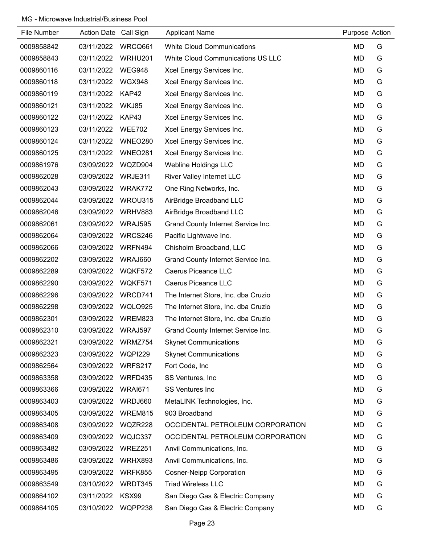| File Number | Action Date Call Sign |                | <b>Applicant Name</b>                    | Purpose Action |   |
|-------------|-----------------------|----------------|------------------------------------------|----------------|---|
| 0009858842  | 03/11/2022            | WRCQ661        | <b>White Cloud Communications</b>        | MD             | G |
| 0009858843  | 03/11/2022            | WRHU201        | <b>White Cloud Communications US LLC</b> | <b>MD</b>      | G |
| 0009860116  | 03/11/2022            | WEG948         | Xcel Energy Services Inc.                | MD             | G |
| 0009860118  | 03/11/2022            | <b>WGX948</b>  | Xcel Energy Services Inc.                | <b>MD</b>      | G |
| 0009860119  | 03/11/2022            | KAP42          | Xcel Energy Services Inc.                | <b>MD</b>      | G |
| 0009860121  | 03/11/2022            | WKJ85          | Xcel Energy Services Inc.                | <b>MD</b>      | G |
| 0009860122  | 03/11/2022            | KAP43          | Xcel Energy Services Inc.                | <b>MD</b>      | G |
| 0009860123  | 03/11/2022            | <b>WEE702</b>  | Xcel Energy Services Inc.                | <b>MD</b>      | G |
| 0009860124  | 03/11/2022            | <b>WNEO280</b> | Xcel Energy Services Inc.                | <b>MD</b>      | G |
| 0009860125  | 03/11/2022            | <b>WNEO281</b> | Xcel Energy Services Inc.                | <b>MD</b>      | G |
| 0009861976  | 03/09/2022            | WQZD904        | Webline Holdings LLC                     | <b>MD</b>      | G |
| 0009862028  | 03/09/2022            | WRJE311        | <b>River Valley Internet LLC</b>         | <b>MD</b>      | G |
| 0009862043  | 03/09/2022            | WRAK772        | One Ring Networks, Inc.                  | <b>MD</b>      | G |
| 0009862044  | 03/09/2022            | WROU315        | AirBridge Broadband LLC                  | <b>MD</b>      | G |
| 0009862046  | 03/09/2022            | WRHV883        | AirBridge Broadband LLC                  | <b>MD</b>      | G |
| 0009862061  | 03/09/2022            | <b>WRAJ595</b> | Grand County Internet Service Inc.       | <b>MD</b>      | G |
| 0009862064  | 03/09/2022            | WRCS246        | Pacific Lightwave Inc.                   | <b>MD</b>      | G |
| 0009862066  | 03/09/2022            | WRFN494        | Chisholm Broadband, LLC                  | <b>MD</b>      | G |
| 0009862202  | 03/09/2022            | WRAJ660        | Grand County Internet Service Inc.       | <b>MD</b>      | G |
| 0009862289  | 03/09/2022            | WQKF572        | Caerus Piceance LLC                      | <b>MD</b>      | G |
| 0009862290  | 03/09/2022            | WQKF571        | Caerus Piceance LLC                      | <b>MD</b>      | G |
| 0009862296  | 03/09/2022            | WRCD741        | The Internet Store, Inc. dba Cruzio      | MD             | G |
| 0009862298  | 03/09/2022            | WQLQ925        | The Internet Store, Inc. dba Cruzio      | <b>MD</b>      | G |
| 0009862301  | 03/09/2022            | WREM823        | The Internet Store, Inc. dba Cruzio      | <b>MD</b>      | G |
| 0009862310  | 03/09/2022            | WRAJ597        | Grand County Internet Service Inc.       | <b>MD</b>      | G |
| 0009862321  | 03/09/2022            | WRMZ754        | <b>Skynet Communications</b>             | <b>MD</b>      | G |
| 0009862323  | 03/09/2022            | <b>WQPI229</b> | <b>Skynet Communications</b>             | <b>MD</b>      | G |
| 0009862564  | 03/09/2022            | WRFS217        | Fort Code, Inc                           | <b>MD</b>      | G |
| 0009863358  | 03/09/2022            | WRFD435        | SS Ventures, Inc.                        | MD             | G |
| 0009863366  | 03/09/2022            | <b>WRAI671</b> | <b>SS Ventures Inc</b>                   | <b>MD</b>      | G |
| 0009863403  | 03/09/2022            | WRDJ660        | MetaLINK Technologies, Inc.              | <b>MD</b>      | G |
| 0009863405  | 03/09/2022            | WREM815        | 903 Broadband                            | <b>MD</b>      | G |
| 0009863408  | 03/09/2022            | WQZR228        | OCCIDENTAL PETROLEUM CORPORATION         | <b>MD</b>      | G |
| 0009863409  | 03/09/2022            | WQJC337        | OCCIDENTAL PETROLEUM CORPORATION         | MD             | G |
| 0009863482  | 03/09/2022            | WREZ251        | Anvil Communications, Inc.               | <b>MD</b>      | G |
| 0009863486  | 03/09/2022            | WRHX893        | Anvil Communications, Inc.               | <b>MD</b>      | G |
| 0009863495  | 03/09/2022            | WRFK855        | <b>Cosner-Neipp Corporation</b>          | MD             | G |
| 0009863549  | 03/10/2022            | WRDT345        | <b>Triad Wireless LLC</b>                | <b>MD</b>      | G |
| 0009864102  | 03/11/2022            | KSX99          | San Diego Gas & Electric Company         | MD             | G |
| 0009864105  | 03/10/2022            | WQPP238        | San Diego Gas & Electric Company         | <b>MD</b>      | G |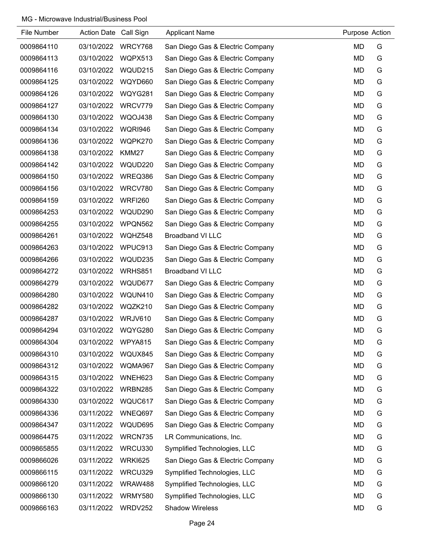| File Number | <b>Action Date</b> | Call Sign      | <b>Applicant Name</b>            | Purpose Action |   |
|-------------|--------------------|----------------|----------------------------------|----------------|---|
| 0009864110  | 03/10/2022         | WRCY768        | San Diego Gas & Electric Company | <b>MD</b>      | G |
| 0009864113  | 03/10/2022         | WQPX513        | San Diego Gas & Electric Company | <b>MD</b>      | G |
| 0009864116  | 03/10/2022         | WQUD215        | San Diego Gas & Electric Company | <b>MD</b>      | G |
| 0009864125  | 03/10/2022         | WQYD660        | San Diego Gas & Electric Company | <b>MD</b>      | G |
| 0009864126  | 03/10/2022         | WQYG281        | San Diego Gas & Electric Company | <b>MD</b>      | G |
| 0009864127  | 03/10/2022         | WRCV779        | San Diego Gas & Electric Company | <b>MD</b>      | G |
| 0009864130  | 03/10/2022         | WQOJ438        | San Diego Gas & Electric Company | <b>MD</b>      | G |
| 0009864134  | 03/10/2022         | <b>WQRI946</b> | San Diego Gas & Electric Company | <b>MD</b>      | G |
| 0009864136  | 03/10/2022         | WQPK270        | San Diego Gas & Electric Company | <b>MD</b>      | G |
| 0009864138  | 03/10/2022         | KMM27          | San Diego Gas & Electric Company | <b>MD</b>      | G |
| 0009864142  | 03/10/2022         | WQUD220        | San Diego Gas & Electric Company | <b>MD</b>      | G |
| 0009864150  | 03/10/2022         | WREQ386        | San Diego Gas & Electric Company | <b>MD</b>      | G |
| 0009864156  | 03/10/2022         | WRCV780        | San Diego Gas & Electric Company | <b>MD</b>      | G |
| 0009864159  | 03/10/2022         | <b>WRFI260</b> | San Diego Gas & Electric Company | <b>MD</b>      | G |
| 0009864253  | 03/10/2022         | WQUD290        | San Diego Gas & Electric Company | <b>MD</b>      | G |
| 0009864255  | 03/10/2022         | WPQN562        | San Diego Gas & Electric Company | <b>MD</b>      | G |
| 0009864261  | 03/10/2022         | WQHZ548        | <b>Broadband VI LLC</b>          | <b>MD</b>      | G |
| 0009864263  | 03/10/2022         | WPUC913        | San Diego Gas & Electric Company | <b>MD</b>      | G |
| 0009864266  | 03/10/2022         | WQUD235        | San Diego Gas & Electric Company | <b>MD</b>      | G |
| 0009864272  | 03/10/2022         | WRHS851        | <b>Broadband VI LLC</b>          | <b>MD</b>      | G |
| 0009864279  | 03/10/2022         | WQUD677        | San Diego Gas & Electric Company | <b>MD</b>      | G |
| 0009864280  | 03/10/2022         | WQUN410        | San Diego Gas & Electric Company | <b>MD</b>      | G |
| 0009864282  | 03/10/2022         | WQZK210        | San Diego Gas & Electric Company | <b>MD</b>      | G |
| 0009864287  | 03/10/2022         | WRJV610        | San Diego Gas & Electric Company | <b>MD</b>      | G |
| 0009864294  | 03/10/2022         | WQYG280        | San Diego Gas & Electric Company | <b>MD</b>      | G |
| 0009864304  | 03/10/2022         | WPYA815        | San Diego Gas & Electric Company | <b>MD</b>      | G |
| 0009864310  | 03/10/2022         | WQUX845        | San Diego Gas & Electric Company | <b>MD</b>      | G |
| 0009864312  | 03/10/2022         | WQMA967        | San Diego Gas & Electric Company | <b>MD</b>      | G |
| 0009864315  | 03/10/2022         | WNEH623        | San Diego Gas & Electric Company | <b>MD</b>      | G |
| 0009864322  | 03/10/2022         | <b>WRBN285</b> | San Diego Gas & Electric Company | <b>MD</b>      | G |
| 0009864330  | 03/10/2022         | WQUC617        | San Diego Gas & Electric Company | <b>MD</b>      | G |
| 0009864336  | 03/11/2022         | WNEQ697        | San Diego Gas & Electric Company | <b>MD</b>      | G |
| 0009864347  | 03/11/2022         | WQUD695        | San Diego Gas & Electric Company | <b>MD</b>      | G |
| 0009864475  | 03/11/2022         | WRCN735        | LR Communications, Inc.          | <b>MD</b>      | G |
| 0009865855  | 03/11/2022         | WRCU330        | Symplified Technologies, LLC     | <b>MD</b>      | G |
| 0009866026  | 03/11/2022         | <b>WRKI625</b> | San Diego Gas & Electric Company | <b>MD</b>      | G |
| 0009866115  | 03/11/2022         | WRCU329        | Symplified Technologies, LLC     | <b>MD</b>      | G |
| 0009866120  | 03/11/2022         | WRAW488        | Symplified Technologies, LLC     | <b>MD</b>      | G |
| 0009866130  | 03/11/2022         | WRMY580        | Symplified Technologies, LLC     | <b>MD</b>      | G |
| 0009866163  | 03/11/2022         | WRDV252        | <b>Shadow Wireless</b>           | MD             | G |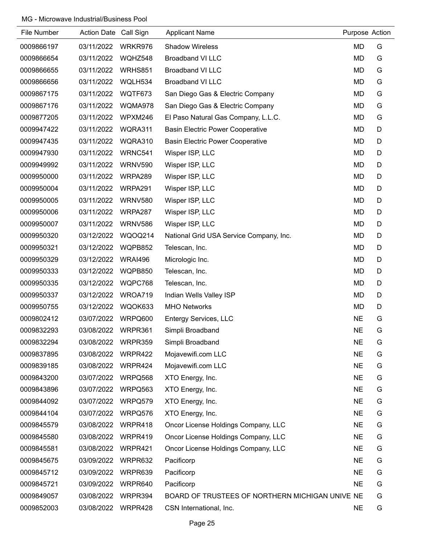| File Number | Action Date Call Sign |                | <b>Applicant Name</b>                           | Purpose Action |   |
|-------------|-----------------------|----------------|-------------------------------------------------|----------------|---|
| 0009866197  | 03/11/2022            | WRKR976        | <b>Shadow Wireless</b>                          | <b>MD</b>      | G |
| 0009866654  | 03/11/2022            | WQHZ548        | <b>Broadband VI LLC</b>                         | <b>MD</b>      | G |
| 0009866655  | 03/11/2022            | <b>WRHS851</b> | <b>Broadband VI LLC</b>                         | <b>MD</b>      | G |
| 0009866656  | 03/11/2022            | WQLH534        | <b>Broadband VI LLC</b>                         | <b>MD</b>      | G |
| 0009867175  | 03/11/2022            | WQTF673        | San Diego Gas & Electric Company                | <b>MD</b>      | G |
| 0009867176  | 03/11/2022            | WQMA978        | San Diego Gas & Electric Company                | MD             | G |
| 0009877205  | 03/11/2022            | WPXM246        | El Paso Natural Gas Company, L.L.C.             | <b>MD</b>      | G |
| 0009947422  | 03/11/2022            | WQRA311        | <b>Basin Electric Power Cooperative</b>         | <b>MD</b>      | D |
| 0009947435  | 03/11/2022            | WQRA310        | <b>Basin Electric Power Cooperative</b>         | <b>MD</b>      | D |
| 0009947930  | 03/11/2022            | WRNC541        | Wisper ISP, LLC                                 | <b>MD</b>      | D |
| 0009949992  | 03/11/2022            | WRNV590        | Wisper ISP, LLC                                 | <b>MD</b>      | D |
| 0009950000  | 03/11/2022            | WRPA289        | Wisper ISP, LLC                                 | <b>MD</b>      | D |
| 0009950004  | 03/11/2022            | WRPA291        | Wisper ISP, LLC                                 | <b>MD</b>      | D |
| 0009950005  | 03/11/2022            | <b>WRNV580</b> | Wisper ISP, LLC                                 | <b>MD</b>      | D |
| 0009950006  | 03/11/2022            | WRPA287        | Wisper ISP, LLC                                 | <b>MD</b>      | D |
| 0009950007  | 03/11/2022            | WRNV586        | Wisper ISP, LLC                                 | <b>MD</b>      | D |
| 0009950320  | 03/12/2022            | WQOQ214        | National Grid USA Service Company, Inc.         | MD             | D |
| 0009950321  | 03/12/2022            | WQPB852        | Telescan, Inc.                                  | <b>MD</b>      | D |
| 0009950329  | 03/12/2022            | <b>WRAI496</b> | Micrologic Inc.                                 | <b>MD</b>      | D |
| 0009950333  | 03/12/2022            | WQPB850        | Telescan, Inc.                                  | <b>MD</b>      | D |
| 0009950335  | 03/12/2022            | WQPC768        | Telescan, Inc.                                  | <b>MD</b>      | D |
| 0009950337  | 03/12/2022            | WROA719        | Indian Wells Valley ISP                         | <b>MD</b>      | D |
| 0009950755  | 03/12/2022            | WQOK633        | <b>MHO Networks</b>                             | <b>MD</b>      | D |
| 0009802412  | 03/07/2022            | WRPQ600        | <b>Entergy Services, LLC</b>                    | <b>NE</b>      | G |
| 0009832293  | 03/08/2022            | WRPR361        | Simpli Broadband                                | <b>NE</b>      | G |
| 0009832294  | 03/08/2022            | WRPR359        | Simpli Broadband                                | <b>NE</b>      | G |
| 0009837895  | 03/08/2022            | WRPR422        | Mojavewifi.com LLC                              | <b>NE</b>      | G |
| 0009839185  | 03/08/2022            | WRPR424        | Mojavewifi.com LLC                              | <b>NE</b>      | G |
| 0009843200  | 03/07/2022            | WRPQ568        | XTO Energy, Inc.                                | <b>NE</b>      | G |
| 0009843896  | 03/07/2022            | WRPQ563        | XTO Energy, Inc.                                | <b>NE</b>      | G |
| 0009844092  | 03/07/2022            | WRPQ579        | XTO Energy, Inc.                                | <b>NE</b>      | G |
| 0009844104  | 03/07/2022            | WRPQ576        | XTO Energy, Inc.                                | <b>NE</b>      | G |
| 0009845579  | 03/08/2022            | WRPR418        | Oncor License Holdings Company, LLC             | <b>NE</b>      | G |
| 0009845580  | 03/08/2022            | WRPR419        | Oncor License Holdings Company, LLC             | <b>NE</b>      | G |
| 0009845581  | 03/08/2022            | WRPR421        | Oncor License Holdings Company, LLC             | <b>NE</b>      | G |
| 0009845675  | 03/09/2022            | WRPR632        | Pacificorp                                      | <b>NE</b>      | G |
| 0009845712  | 03/09/2022            | WRPR639        | Pacificorp                                      | <b>NE</b>      | G |
| 0009845721  | 03/09/2022            | WRPR640        | Pacificorp                                      | <b>NE</b>      | G |
| 0009849057  | 03/08/2022            | WRPR394        | BOARD OF TRUSTEES OF NORTHERN MICHIGAN UNIVE NE |                | G |
| 0009852003  | 03/08/2022            | WRPR428        | CSN International, Inc.                         | <b>NE</b>      | G |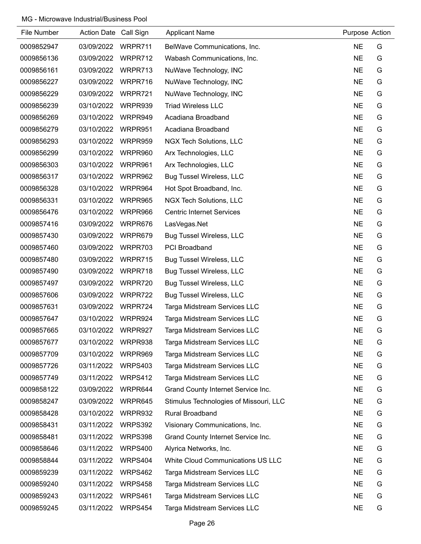| File Number | Action Date Call Sign |                | <b>Applicant Name</b>                  | Purpose Action |   |
|-------------|-----------------------|----------------|----------------------------------------|----------------|---|
| 0009852947  | 03/09/2022            | WRPR711        | BelWave Communications, Inc.           | <b>NE</b>      | G |
| 0009856136  | 03/09/2022            | WRPR712        | Wabash Communications, Inc.            | <b>NE</b>      | G |
| 0009856161  | 03/09/2022            | WRPR713        | NuWave Technology, INC                 | <b>NE</b>      | G |
| 0009856227  | 03/09/2022            | WRPR716        | NuWave Technology, INC                 | <b>NE</b>      | G |
| 0009856229  | 03/09/2022            | WRPR721        | NuWave Technology, INC                 | <b>NE</b>      | G |
| 0009856239  | 03/10/2022            | WRPR939        | <b>Triad Wireless LLC</b>              | <b>NE</b>      | G |
| 0009856269  | 03/10/2022            | WRPR949        | Acadiana Broadband                     | <b>NE</b>      | G |
| 0009856279  | 03/10/2022            | WRPR951        | Acadiana Broadband                     | <b>NE</b>      | G |
| 0009856293  | 03/10/2022            | WRPR959        | NGX Tech Solutions, LLC                | <b>NE</b>      | G |
| 0009856299  | 03/10/2022            | WRPR960        | Arx Technologies, LLC                  | <b>NE</b>      | G |
| 0009856303  | 03/10/2022            | WRPR961        | Arx Technologies, LLC                  | <b>NE</b>      | G |
| 0009856317  | 03/10/2022            | WRPR962        | <b>Bug Tussel Wireless, LLC</b>        | <b>NE</b>      | G |
| 0009856328  | 03/10/2022            | WRPR964        | Hot Spot Broadband, Inc.               | <b>NE</b>      | G |
| 0009856331  | 03/10/2022            | WRPR965        | NGX Tech Solutions, LLC                | <b>NE</b>      | G |
| 0009856476  | 03/10/2022            | WRPR966        | <b>Centric Internet Services</b>       | <b>NE</b>      | G |
| 0009857416  | 03/09/2022            | WRPR676        | LasVegas.Net                           | <b>NE</b>      | G |
| 0009857430  | 03/09/2022            | WRPR679        | <b>Bug Tussel Wireless, LLC</b>        | <b>NE</b>      | G |
| 0009857460  | 03/09/2022            | WRPR703        | <b>PCI Broadband</b>                   | <b>NE</b>      | G |
| 0009857480  | 03/09/2022            | WRPR715        | <b>Bug Tussel Wireless, LLC</b>        | <b>NE</b>      | G |
| 0009857490  | 03/09/2022            | WRPR718        | <b>Bug Tussel Wireless, LLC</b>        | <b>NE</b>      | G |
| 0009857497  | 03/09/2022            | WRPR720        | <b>Bug Tussel Wireless, LLC</b>        | <b>NE</b>      | G |
| 0009857606  | 03/09/2022            | WRPR722        | <b>Bug Tussel Wireless, LLC</b>        | <b>NE</b>      | G |
| 0009857631  | 03/09/2022            | WRPR724        | Targa Midstream Services LLC           | <b>NE</b>      | G |
| 0009857647  | 03/10/2022            | WRPR924        | Targa Midstream Services LLC           | <b>NE</b>      | G |
| 0009857665  | 03/10/2022            | WRPR927        | Targa Midstream Services LLC           | <b>NE</b>      | G |
| 0009857677  | 03/10/2022            | WRPR938        | Targa Midstream Services LLC           | <b>NE</b>      | G |
| 0009857709  | 03/10/2022            | WRPR969        | Targa Midstream Services LLC           | <b>NE</b>      | G |
| 0009857726  | 03/11/2022            | WRPS403        | Targa Midstream Services LLC           | <b>NE</b>      | G |
| 0009857749  | 03/11/2022            | WRPS412        | Targa Midstream Services LLC           | <b>NE</b>      | G |
| 0009858122  | 03/09/2022            | WRPR644        | Grand County Internet Service Inc.     | <b>NE</b>      | G |
| 0009858247  | 03/09/2022            | WRPR645        | Stimulus Technologies of Missouri, LLC | <b>NE</b>      | G |
| 0009858428  | 03/10/2022            | WRPR932        | Rural Broadband                        | <b>NE</b>      | G |
| 0009858431  | 03/11/2022            | WRPS392        | Visionary Communications, Inc.         | <b>NE</b>      | G |
| 0009858481  | 03/11/2022            | WRPS398        | Grand County Internet Service Inc.     | <b>NE</b>      | G |
| 0009858646  | 03/11/2022            | <b>WRPS400</b> | Alyrica Networks, Inc.                 | <b>NE</b>      | G |
| 0009858844  | 03/11/2022            | WRPS404        | White Cloud Communications US LLC      | <b>NE</b>      | G |
| 0009859239  | 03/11/2022            | WRPS462        | Targa Midstream Services LLC           | <b>NE</b>      | G |
| 0009859240  | 03/11/2022            | WRPS458        | Targa Midstream Services LLC           | <b>NE</b>      | G |
| 0009859243  | 03/11/2022            | WRPS461        | Targa Midstream Services LLC           | <b>NE</b>      | G |
| 0009859245  | 03/11/2022            | WRPS454        | Targa Midstream Services LLC           | <b>NE</b>      | G |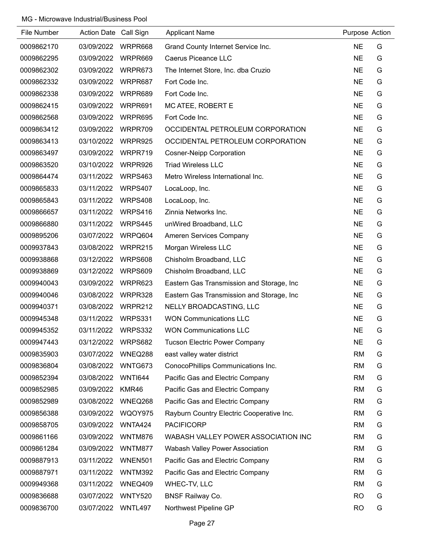| File Number | Action Date Call Sign |                | <b>Applicant Name</b>                      | Purpose Action |   |
|-------------|-----------------------|----------------|--------------------------------------------|----------------|---|
| 0009862170  | 03/09/2022            | WRPR668        | Grand County Internet Service Inc.         | <b>NE</b>      | G |
| 0009862295  | 03/09/2022            | WRPR669        | Caerus Piceance LLC                        | <b>NE</b>      | G |
| 0009862302  | 03/09/2022            | WRPR673        | The Internet Store, Inc. dba Cruzio        | <b>NE</b>      | G |
| 0009862332  | 03/09/2022            | WRPR687        | Fort Code Inc.                             | <b>NE</b>      | G |
| 0009862338  | 03/09/2022            | WRPR689        | Fort Code Inc.                             | <b>NE</b>      | G |
| 0009862415  | 03/09/2022            | WRPR691        | MC ATEE, ROBERT E                          | <b>NE</b>      | G |
| 0009862568  | 03/09/2022            | WRPR695        | Fort Code Inc.                             | <b>NE</b>      | G |
| 0009863412  | 03/09/2022            | WRPR709        | OCCIDENTAL PETROLEUM CORPORATION           | <b>NE</b>      | G |
| 0009863413  | 03/10/2022            | WRPR925        | OCCIDENTAL PETROLEUM CORPORATION           | <b>NE</b>      | G |
| 0009863497  | 03/09/2022            | WRPR719        | <b>Cosner-Neipp Corporation</b>            | <b>NE</b>      | G |
| 0009863520  | 03/10/2022            | WRPR926        | <b>Triad Wireless LLC</b>                  | <b>NE</b>      | G |
| 0009864474  | 03/11/2022            | WRPS463        | Metro Wireless International Inc.          | <b>NE</b>      | G |
| 0009865833  | 03/11/2022            | WRPS407        | LocaLoop, Inc.                             | <b>NE</b>      | G |
| 0009865843  | 03/11/2022            | <b>WRPS408</b> | LocaLoop, Inc.                             | <b>NE</b>      | G |
| 0009866657  | 03/11/2022            | WRPS416        | Zinnia Networks Inc.                       | <b>NE</b>      | G |
| 0009866880  | 03/11/2022            | WRPS445        | unWired Broadband, LLC                     | <b>NE</b>      | G |
| 0009895206  | 03/07/2022            | WRPQ604        | Ameren Services Company                    | <b>NE</b>      | G |
| 0009937843  | 03/08/2022            | WRPR215        | Morgan Wireless LLC                        | <b>NE</b>      | G |
| 0009938868  | 03/12/2022            | WRPS608        | Chisholm Broadband, LLC                    | <b>NE</b>      | G |
| 0009938869  | 03/12/2022            | WRPS609        | Chisholm Broadband, LLC                    | <b>NE</b>      | G |
| 0009940043  | 03/09/2022            | WRPR623        | Eastern Gas Transmission and Storage, Inc. | <b>NE</b>      | G |
| 0009940046  | 03/08/2022            | WRPR328        | Eastern Gas Transmission and Storage, Inc. | <b>NE</b>      | G |
| 0009940371  | 03/08/2022            | WRPR212        | NELLY BROADCASTING, LLC                    | <b>NE</b>      | G |
| 0009945348  | 03/11/2022            | WRPS331        | <b>WON Communications LLC</b>              | <b>NE</b>      | G |
| 0009945352  | 03/11/2022            | WRPS332        | <b>WON Communications LLC</b>              | <b>NE</b>      | G |
| 0009947443  | 03/12/2022            | WRPS682        | <b>Tucson Electric Power Company</b>       | <b>NE</b>      | G |
| 0009835903  | 03/07/2022            | WNEQ288        | east valley water district                 | <b>RM</b>      | G |
| 0009836804  | 03/08/2022            | WNTG673        | ConocoPhillips Communications Inc.         | <b>RM</b>      | G |
| 0009852394  | 03/08/2022            | <b>WNTI644</b> | Pacific Gas and Electric Company           | <b>RM</b>      | G |
| 0009852985  | 03/09/2022            | KMR46          | Pacific Gas and Electric Company           | <b>RM</b>      | G |
| 0009852989  | 03/08/2022            | WNEQ268        | Pacific Gas and Electric Company           | <b>RM</b>      | G |
| 0009856388  | 03/09/2022            | WQOY975        | Rayburn Country Electric Cooperative Inc.  | <b>RM</b>      | G |
| 0009858705  | 03/09/2022            | WNTA424        | <b>PACIFICORP</b>                          | <b>RM</b>      | G |
| 0009861166  | 03/09/2022            | WNTM876        | WABASH VALLEY POWER ASSOCIATION INC        | <b>RM</b>      | G |
| 0009861284  | 03/09/2022            | WNTM877        | Wabash Valley Power Association            | <b>RM</b>      | G |
| 0009887913  | 03/11/2022            | WNEN501        | Pacific Gas and Electric Company           | <b>RM</b>      | G |
| 0009887971  | 03/11/2022            | <b>WNTM392</b> | Pacific Gas and Electric Company           | <b>RM</b>      | G |
| 0009949368  | 03/11/2022            | WNEQ409        | WHEC-TV, LLC                               | <b>RM</b>      | G |
| 0009836688  | 03/07/2022            | <b>WNTY520</b> | <b>BNSF Railway Co.</b>                    | <b>RO</b>      | G |
| 0009836700  | 03/07/2022            | <b>WNTL497</b> | Northwest Pipeline GP                      | <b>RO</b>      | G |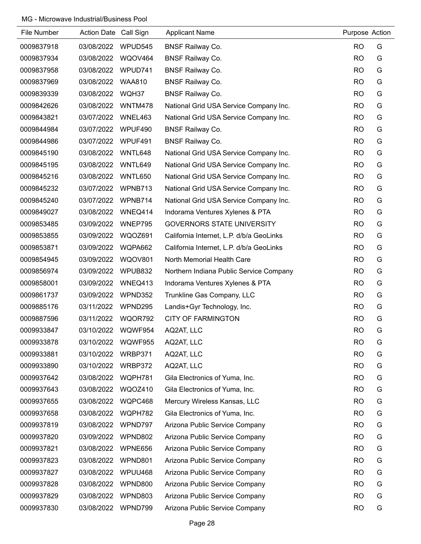| File Number | Action Date Call Sign |                | <b>Applicant Name</b>                    | Purpose Action |   |
|-------------|-----------------------|----------------|------------------------------------------|----------------|---|
| 0009837918  | 03/08/2022            | WPUD545        | <b>BNSF Railway Co.</b>                  | <b>RO</b>      | G |
| 0009837934  | 03/08/2022            | WQOV464        | <b>BNSF Railway Co.</b>                  | <b>RO</b>      | G |
| 0009837958  | 03/08/2022            | WPUD741        | <b>BNSF Railway Co.</b>                  | <b>RO</b>      | G |
| 0009837969  | 03/08/2022            | <b>WAA810</b>  | <b>BNSF Railway Co.</b>                  | <b>RO</b>      | G |
| 0009839339  | 03/08/2022            | WQH37          | <b>BNSF Railway Co.</b>                  | <b>RO</b>      | G |
| 0009842626  | 03/08/2022            | WNTM478        | National Grid USA Service Company Inc.   | <b>RO</b>      | G |
| 0009843821  | 03/07/2022            | WNEL463        | National Grid USA Service Company Inc.   | <b>RO</b>      | G |
| 0009844984  | 03/07/2022            | WPUF490        | <b>BNSF Railway Co.</b>                  | <b>RO</b>      | G |
| 0009844986  | 03/07/2022            | WPUF491        | <b>BNSF Railway Co.</b>                  | <b>RO</b>      | G |
| 0009845190  | 03/08/2022            | WNTL648        | National Grid USA Service Company Inc.   | <b>RO</b>      | G |
| 0009845195  | 03/08/2022            | WNTL649        | National Grid USA Service Company Inc.   | <b>RO</b>      | G |
| 0009845216  | 03/08/2022            | WNTL650        | National Grid USA Service Company Inc.   | <b>RO</b>      | G |
| 0009845232  | 03/07/2022            | WPNB713        | National Grid USA Service Company Inc.   | <b>RO</b>      | G |
| 0009845240  | 03/07/2022            | WPNB714        | National Grid USA Service Company Inc.   | <b>RO</b>      | G |
| 0009849027  | 03/08/2022            | WNEQ414        | Indorama Ventures Xylenes & PTA          | <b>RO</b>      | G |
| 0009853485  | 03/09/2022            | WNEP795        | <b>GOVERNORS STATE UNIVERSITY</b>        | <b>RO</b>      | G |
| 0009853855  | 03/09/2022            | <b>WQOZ691</b> | California Internet, L.P. d/b/a GeoLinks | <b>RO</b>      | G |
| 0009853871  | 03/09/2022            | WQPA662        | California Internet, L.P. d/b/a GeoLinks | <b>RO</b>      | G |
| 0009854945  | 03/09/2022            | <b>WQOV801</b> | North Memorial Health Care               | <b>RO</b>      | G |
| 0009856974  | 03/09/2022            | WPUB832        | Northern Indiana Public Service Company  | <b>RO</b>      | G |
| 0009858001  | 03/09/2022            | WNEQ413        | Indorama Ventures Xylenes & PTA          | <b>RO</b>      | G |
| 0009861737  | 03/09/2022            | WPND352        | Trunkline Gas Company, LLC               | <b>RO</b>      | G |
| 0009885176  | 03/11/2022            | WPND295        | Landis+Gyr Technology, Inc.              | <b>RO</b>      | G |
| 0009887596  | 03/11/2022            | WQOR792        | <b>CITY OF FARMINGTON</b>                | <b>RO</b>      | G |
| 0009933847  | 03/10/2022            | WQWF954        | AQ2AT, LLC                               | <b>RO</b>      | G |
| 0009933878  | 03/10/2022            | <b>WQWF955</b> | AQ2AT, LLC                               | <b>RO</b>      | G |
| 0009933881  | 03/10/2022            | WRBP371        | AQ2AT, LLC                               | <b>RO</b>      | G |
| 0009933890  | 03/10/2022            | WRBP372        | AQ2AT, LLC                               | <b>RO</b>      | G |
| 0009937642  | 03/08/2022            | WQPH781        | Gila Electronics of Yuma, Inc.           | <b>RO</b>      | G |
| 0009937643  | 03/08/2022            | WQOZ410        | Gila Electronics of Yuma, Inc.           | <b>RO</b>      | G |
| 0009937655  | 03/08/2022            | WQPC468        | Mercury Wireless Kansas, LLC             | <b>RO</b>      | G |
| 0009937658  | 03/08/2022            | WQPH782        | Gila Electronics of Yuma, Inc.           | <b>RO</b>      | G |
| 0009937819  | 03/08/2022            | WPND797        | Arizona Public Service Company           | <b>RO</b>      | G |
| 0009937820  | 03/09/2022            | WPND802        | Arizona Public Service Company           | <b>RO</b>      | G |
| 0009937821  | 03/08/2022            | WPNE656        | Arizona Public Service Company           | <b>RO</b>      | G |
| 0009937823  | 03/08/2022            | WPND801        | Arizona Public Service Company           | <b>RO</b>      | G |
| 0009937827  | 03/08/2022            | WPUU468        | Arizona Public Service Company           | <b>RO</b>      | G |
| 0009937828  | 03/08/2022            | WPND800        | Arizona Public Service Company           | <b>RO</b>      | G |
| 0009937829  | 03/08/2022            | WPND803        | Arizona Public Service Company           | <b>RO</b>      | G |
| 0009937830  | 03/08/2022            | WPND799        | Arizona Public Service Company           | <b>RO</b>      | G |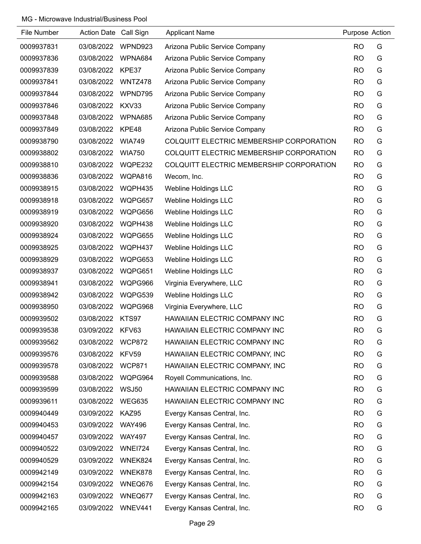| File Number | Action Date Call Sign |                | <b>Applicant Name</b>                    | Purpose Action |   |
|-------------|-----------------------|----------------|------------------------------------------|----------------|---|
| 0009937831  | 03/08/2022            | WPND923        | Arizona Public Service Company           | <b>RO</b>      | G |
| 0009937836  | 03/08/2022            | WPNA684        | Arizona Public Service Company           | <b>RO</b>      | G |
| 0009937839  | 03/08/2022            | KPE37          | Arizona Public Service Company           | <b>RO</b>      | G |
| 0009937841  | 03/08/2022            | WNTZ478        | Arizona Public Service Company           | <b>RO</b>      | G |
| 0009937844  | 03/08/2022            | WPND795        | Arizona Public Service Company           | <b>RO</b>      | G |
| 0009937846  | 03/08/2022            | KXV33          | Arizona Public Service Company           | <b>RO</b>      | G |
| 0009937848  | 03/08/2022            | WPNA685        | Arizona Public Service Company           | <b>RO</b>      | G |
| 0009937849  | 03/08/2022            | KPE48          | Arizona Public Service Company           | <b>RO</b>      | G |
| 0009938790  | 03/08/2022            | <b>WIA749</b>  | COLQUITT ELECTRIC MEMBERSHIP CORPORATION | <b>RO</b>      | G |
| 0009938802  | 03/08/2022            | <b>WIA750</b>  | COLQUITT ELECTRIC MEMBERSHIP CORPORATION | <b>RO</b>      | G |
| 0009938810  | 03/08/2022            | WQPE232        | COLQUITT ELECTRIC MEMBERSHIP CORPORATION | <b>RO</b>      | G |
| 0009938836  | 03/08/2022            | WQPA816        | Wecom, Inc.                              | <b>RO</b>      | G |
| 0009938915  | 03/08/2022            | WQPH435        | <b>Webline Holdings LLC</b>              | <b>RO</b>      | G |
| 0009938918  | 03/08/2022            | WQPG657        | <b>Webline Holdings LLC</b>              | <b>RO</b>      | G |
| 0009938919  | 03/08/2022            | WQPG656        | <b>Webline Holdings LLC</b>              | <b>RO</b>      | G |
| 0009938920  | 03/08/2022            | WQPH438        | <b>Webline Holdings LLC</b>              | <b>RO</b>      | G |
| 0009938924  | 03/08/2022            | WQPG655        | <b>Webline Holdings LLC</b>              | <b>RO</b>      | G |
| 0009938925  | 03/08/2022            | WQPH437        | <b>Webline Holdings LLC</b>              | <b>RO</b>      | G |
| 0009938929  | 03/08/2022            | WQPG653        | <b>Webline Holdings LLC</b>              | <b>RO</b>      | G |
| 0009938937  | 03/08/2022            | WQPG651        | <b>Webline Holdings LLC</b>              | <b>RO</b>      | G |
| 0009938941  | 03/08/2022            | WQPG966        | Virginia Everywhere, LLC                 | <b>RO</b>      | G |
| 0009938942  | 03/08/2022            | WQPG539        | <b>Webline Holdings LLC</b>              | <b>RO</b>      | G |
| 0009938950  | 03/08/2022            | WQPG968        | Virginia Everywhere, LLC                 | <b>RO</b>      | G |
| 0009939502  | 03/08/2022            | KTS97          | HAWAIIAN ELECTRIC COMPANY INC            | <b>RO</b>      | G |
| 0009939538  | 03/09/2022            | KFV63          | HAWAIIAN ELECTRIC COMPANY INC            | <b>RO</b>      | G |
| 0009939562  | 03/08/2022            | <b>WCP872</b>  | HAWAIIAN ELECTRIC COMPANY INC            | <b>RO</b>      | G |
| 0009939576  | 03/08/2022            | KFV59          | HAWAIIAN ELECTRIC COMPANY, INC           | <b>RO</b>      | G |
| 0009939578  | 03/08/2022            | <b>WCP871</b>  | HAWAIIAN ELECTRIC COMPANY, INC           | <b>RO</b>      | G |
| 0009939588  | 03/08/2022            | WQPG964        | Royell Communications, Inc.              | <b>RO</b>      | G |
| 0009939599  | 03/08/2022            | <b>WSJ50</b>   | HAWAIIAN ELECTRIC COMPANY INC            | <b>RO</b>      | G |
| 0009939611  | 03/08/2022            | <b>WEG635</b>  | HAWAIIAN ELECTRIC COMPANY INC            | <b>RO</b>      | G |
| 0009940449  | 03/09/2022            | KAZ95          | Evergy Kansas Central, Inc.              | <b>RO</b>      | G |
| 0009940453  | 03/09/2022            | <b>WAY496</b>  | Evergy Kansas Central, Inc.              | <b>RO</b>      | G |
| 0009940457  | 03/09/2022            | <b>WAY497</b>  | Evergy Kansas Central, Inc.              | <b>RO</b>      | G |
| 0009940522  | 03/09/2022            | <b>WNEI724</b> | Evergy Kansas Central, Inc.              | <b>RO</b>      | G |
| 0009940529  | 03/09/2022            | WNEK824        | Evergy Kansas Central, Inc.              | <b>RO</b>      | G |
| 0009942149  | 03/09/2022            | WNEK878        | Evergy Kansas Central, Inc.              | <b>RO</b>      | G |
| 0009942154  | 03/09/2022            | WNEQ676        | Evergy Kansas Central, Inc.              | <b>RO</b>      | G |
| 0009942163  | 03/09/2022            | WNEQ677        | Evergy Kansas Central, Inc.              | <b>RO</b>      | G |
| 0009942165  | 03/09/2022            | WNEV441        | Evergy Kansas Central, Inc.              | <b>RO</b>      | G |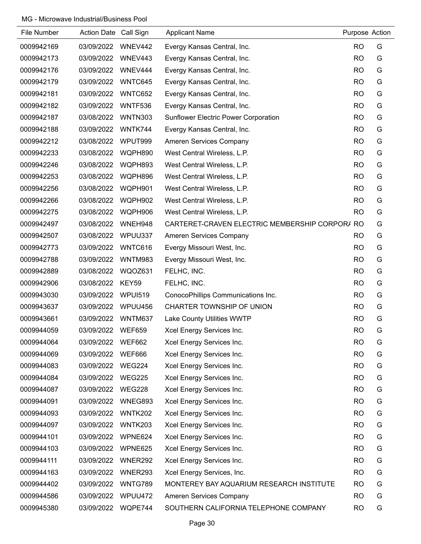| File Number | Action Date Call Sign |                | <b>Applicant Name</b>                          | Purpose Action |   |
|-------------|-----------------------|----------------|------------------------------------------------|----------------|---|
| 0009942169  | 03/09/2022            | WNEV442        | Evergy Kansas Central, Inc.                    | <b>RO</b>      | G |
| 0009942173  | 03/09/2022            | WNEV443        | Evergy Kansas Central, Inc.                    | <b>RO</b>      | G |
| 0009942176  | 03/09/2022            | WNEV444        | Evergy Kansas Central, Inc.                    | <b>RO</b>      | G |
| 0009942179  | 03/09/2022            | WNTC645        | Evergy Kansas Central, Inc.                    | <b>RO</b>      | G |
| 0009942181  | 03/09/2022            | WNTC652        | Evergy Kansas Central, Inc.                    | <b>RO</b>      | G |
| 0009942182  | 03/09/2022            | WNTF536        | Evergy Kansas Central, Inc.                    | <b>RO</b>      | G |
| 0009942187  | 03/08/2022            | <b>WNTN303</b> | <b>Sunflower Electric Power Corporation</b>    | <b>RO</b>      | G |
| 0009942188  | 03/09/2022            | WNTK744        | Evergy Kansas Central, Inc.                    | <b>RO</b>      | G |
| 0009942212  | 03/08/2022            | WPUT999        | Ameren Services Company                        | <b>RO</b>      | G |
| 0009942233  | 03/08/2022            | WQPH890        | West Central Wireless, L.P.                    | <b>RO</b>      | G |
| 0009942246  | 03/08/2022            | WQPH893        | West Central Wireless, L.P.                    | <b>RO</b>      | G |
| 0009942253  | 03/08/2022            | WQPH896        | West Central Wireless, L.P.                    | <b>RO</b>      | G |
| 0009942256  | 03/08/2022            | WQPH901        | West Central Wireless, L.P.                    | <b>RO</b>      | G |
| 0009942266  | 03/08/2022            | WQPH902        | West Central Wireless, L.P.                    | <b>RO</b>      | G |
| 0009942275  | 03/08/2022            | WQPH906        | West Central Wireless, L.P.                    | <b>RO</b>      | G |
| 0009942497  | 03/08/2022            | WNEH948        | CARTERET-CRAVEN ELECTRIC MEMBERSHIP CORPOR/ RO |                | G |
| 0009942507  | 03/08/2022            | WPUU337        | Ameren Services Company                        | <b>RO</b>      | G |
| 0009942773  | 03/09/2022            | WNTC616        | Evergy Missouri West, Inc.                     | <b>RO</b>      | G |
| 0009942788  | 03/09/2022            | <b>WNTM983</b> | Evergy Missouri West, Inc.                     | <b>RO</b>      | G |
| 0009942889  | 03/08/2022            | WQOZ631        | FELHC, INC.                                    | <b>RO</b>      | G |
| 0009942906  | 03/08/2022            | KEY59          | FELHC, INC.                                    | <b>RO</b>      | G |
| 0009943030  | 03/09/2022            | <b>WPUI519</b> | ConocoPhillips Communications Inc.             | <b>RO</b>      | G |
| 0009943637  | 03/09/2022            | WPUU456        | CHARTER TOWNSHIP OF UNION                      | <b>RO</b>      | G |
| 0009943661  | 03/09/2022            | WNTM637        | Lake County Utilities WWTP                     | <b>RO</b>      | G |
| 0009944059  | 03/09/2022            | <b>WEF659</b>  | Xcel Energy Services Inc.                      | <b>RO</b>      | G |
| 0009944064  | 03/09/2022            | <b>WEF662</b>  | Xcel Energy Services Inc.                      | <b>RO</b>      | G |
| 0009944069  | 03/09/2022            | WEF666         | Xcel Energy Services Inc.                      | <b>RO</b>      | G |
| 0009944083  | 03/09/2022            | WEG224         | Xcel Energy Services Inc.                      | <b>RO</b>      | G |
| 0009944084  | 03/09/2022            | <b>WEG225</b>  | Xcel Energy Services Inc.                      | <b>RO</b>      | G |
| 0009944087  | 03/09/2022            | <b>WEG228</b>  | Xcel Energy Services Inc.                      | <b>RO</b>      | G |
| 0009944091  | 03/09/2022            | WNEG893        | Xcel Energy Services Inc.                      | <b>RO</b>      | G |
| 0009944093  | 03/09/2022            | <b>WNTK202</b> | Xcel Energy Services Inc.                      | <b>RO</b>      | G |
| 0009944097  | 03/09/2022            | <b>WNTK203</b> | Xcel Energy Services Inc.                      | <b>RO</b>      | G |
| 0009944101  | 03/09/2022            | WPNE624        | Xcel Energy Services Inc.                      | <b>RO</b>      | G |
| 0009944103  | 03/09/2022            | WPNE625        | Xcel Energy Services Inc.                      | <b>RO</b>      | G |
| 0009944111  | 03/09/2022            | WNER292        | Xcel Energy Services Inc.                      | <b>RO</b>      | G |
| 0009944163  | 03/09/2022            | WNER293        | Xcel Energy Services, Inc.                     | <b>RO</b>      | G |
| 0009944402  | 03/09/2022            | WNTG789        | MONTEREY BAY AQUARIUM RESEARCH INSTITUTE       | <b>RO</b>      | G |
| 0009944586  | 03/09/2022            | WPUU472        | Ameren Services Company                        | <b>RO</b>      | G |
| 0009945380  | 03/09/2022            | WQPE744        | SOUTHERN CALIFORNIA TELEPHONE COMPANY          | <b>RO</b>      | G |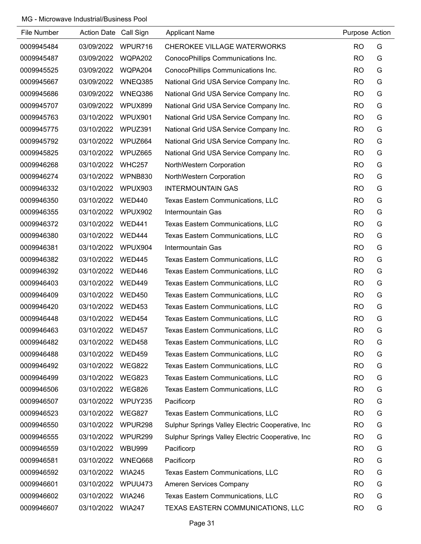| File Number | Action Date Call Sign |               | <b>Applicant Name</b>                            | Purpose Action |   |
|-------------|-----------------------|---------------|--------------------------------------------------|----------------|---|
| 0009945484  | 03/09/2022            | WPUR716       | <b>CHEROKEE VILLAGE WATERWORKS</b>               | <b>RO</b>      | G |
| 0009945487  | 03/09/2022            | WQPA202       | ConocoPhillips Communications Inc.               | <b>RO</b>      | G |
| 0009945525  | 03/09/2022            | WQPA204       | ConocoPhillips Communications Inc.               | <b>RO</b>      | G |
| 0009945667  | 03/09/2022            | WNEQ385       | National Grid USA Service Company Inc.           | <b>RO</b>      | G |
| 0009945686  | 03/09/2022            | WNEQ386       | National Grid USA Service Company Inc.           | <b>RO</b>      | G |
| 0009945707  | 03/09/2022            | WPUX899       | National Grid USA Service Company Inc.           | <b>RO</b>      | G |
| 0009945763  | 03/10/2022            | WPUX901       | National Grid USA Service Company Inc.           | <b>RO</b>      | G |
| 0009945775  | 03/10/2022            | WPUZ391       | National Grid USA Service Company Inc.           | <b>RO</b>      | G |
| 0009945792  | 03/10/2022            | WPUZ664       | National Grid USA Service Company Inc.           | <b>RO</b>      | G |
| 0009945825  | 03/10/2022            | WPUZ665       | National Grid USA Service Company Inc.           | <b>RO</b>      | G |
| 0009946268  | 03/10/2022            | <b>WHC257</b> | NorthWestern Corporation                         | <b>RO</b>      | G |
| 0009946274  | 03/10/2022            | WPNB830       | NorthWestern Corporation                         | <b>RO</b>      | G |
| 0009946332  | 03/10/2022            | WPUX903       | <b>INTERMOUNTAIN GAS</b>                         | <b>RO</b>      | G |
| 0009946350  | 03/10/2022            | <b>WED440</b> | Texas Eastern Communications, LLC                | <b>RO</b>      | G |
| 0009946355  | 03/10/2022            | WPUX902       | Intermountain Gas                                | <b>RO</b>      | G |
| 0009946372  | 03/10/2022            | <b>WED441</b> | Texas Eastern Communications, LLC                | <b>RO</b>      | G |
| 0009946380  | 03/10/2022            | WED444        | Texas Eastern Communications, LLC                | <b>RO</b>      | G |
| 0009946381  | 03/10/2022            | WPUX904       | Intermountain Gas                                | <b>RO</b>      | G |
| 0009946382  | 03/10/2022            | <b>WED445</b> | Texas Eastern Communications, LLC                | <b>RO</b>      | G |
| 0009946392  | 03/10/2022            | WED446        | Texas Eastern Communications, LLC                | <b>RO</b>      | G |
| 0009946403  | 03/10/2022            | <b>WED449</b> | Texas Eastern Communications, LLC                | <b>RO</b>      | G |
| 0009946409  | 03/10/2022            | <b>WED450</b> | Texas Eastern Communications, LLC                | <b>RO</b>      | G |
| 0009946420  | 03/10/2022            | <b>WED453</b> | Texas Eastern Communications, LLC                | <b>RO</b>      | G |
| 0009946448  | 03/10/2022            | <b>WED454</b> | Texas Eastern Communications, LLC                | <b>RO</b>      | G |
| 0009946463  | 03/10/2022            | <b>WED457</b> | Texas Eastern Communications, LLC                | <b>RO</b>      | G |
| 0009946482  | 03/10/2022            | <b>WED458</b> | Texas Eastern Communications, LLC                | <b>RO</b>      | G |
| 0009946488  | 03/10/2022            | <b>WED459</b> | Texas Eastern Communications, LLC                | <b>RO</b>      | G |
| 0009946492  | 03/10/2022            | <b>WEG822</b> | Texas Eastern Communications, LLC                | <b>RO</b>      | G |
| 0009946499  | 03/10/2022            | <b>WEG823</b> | Texas Eastern Communications, LLC                | <b>RO</b>      | G |
| 0009946506  | 03/10/2022            | <b>WEG826</b> | Texas Eastern Communications, LLC                | <b>RO</b>      | G |
| 0009946507  | 03/10/2022            | WPUY235       | Pacificorp                                       | <b>RO</b>      | G |
| 0009946523  | 03/10/2022            | <b>WEG827</b> | Texas Eastern Communications, LLC                | <b>RO</b>      | G |
| 0009946550  | 03/10/2022            | WPUR298       | Sulphur Springs Valley Electric Cooperative, Inc | <b>RO</b>      | G |
| 0009946555  | 03/10/2022            | WPUR299       | Sulphur Springs Valley Electric Cooperative, Inc | <b>RO</b>      | G |
| 0009946559  | 03/10/2022            | <b>WBU999</b> | Pacificorp                                       | <b>RO</b>      | G |
| 0009946581  | 03/10/2022            | WNEQ668       | Pacificorp                                       | <b>RO</b>      | G |
| 0009946592  | 03/10/2022            | <b>WIA245</b> | Texas Eastern Communications, LLC                | <b>RO</b>      | G |
| 0009946601  | 03/10/2022            | WPUU473       | Ameren Services Company                          | <b>RO</b>      | G |
| 0009946602  | 03/10/2022            | <b>WIA246</b> | Texas Eastern Communications, LLC                | <b>RO</b>      | G |
| 0009946607  | 03/10/2022            | <b>WIA247</b> | TEXAS EASTERN COMMUNICATIONS, LLC                | <b>RO</b>      | G |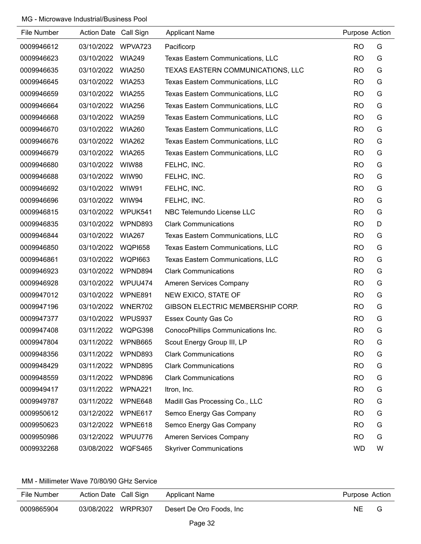| File Number | Action Date Call Sign |                | <b>Applicant Name</b>              | Purpose Action |   |
|-------------|-----------------------|----------------|------------------------------------|----------------|---|
| 0009946612  | 03/10/2022            | WPVA723        | Pacificorp                         | <b>RO</b>      | G |
| 0009946623  | 03/10/2022            | <b>WIA249</b>  | Texas Eastern Communications, LLC  | <b>RO</b>      | G |
| 0009946635  | 03/10/2022            | <b>WIA250</b>  | TEXAS EASTERN COMMUNICATIONS, LLC  | <b>RO</b>      | G |
| 0009946645  | 03/10/2022            | <b>WIA253</b>  | Texas Eastern Communications, LLC  | <b>RO</b>      | G |
| 0009946659  | 03/10/2022            | <b>WIA255</b>  | Texas Eastern Communications, LLC  | <b>RO</b>      | G |
| 0009946664  | 03/10/2022            | <b>WIA256</b>  | Texas Eastern Communications, LLC  | <b>RO</b>      | G |
| 0009946668  | 03/10/2022            | <b>WIA259</b>  | Texas Eastern Communications, LLC  | <b>RO</b>      | G |
| 0009946670  | 03/10/2022            | <b>WIA260</b>  | Texas Eastern Communications, LLC  | <b>RO</b>      | G |
| 0009946676  | 03/10/2022            | <b>WIA262</b>  | Texas Eastern Communications, LLC  | <b>RO</b>      | G |
| 0009946679  | 03/10/2022            | <b>WIA265</b>  | Texas Eastern Communications, LLC  | <b>RO</b>      | G |
| 0009946680  | 03/10/2022            | WIW88          | FELHC, INC.                        | <b>RO</b>      | G |
| 0009946688  | 03/10/2022            | WIW90          | FELHC, INC.                        | <b>RO</b>      | G |
| 0009946692  | 03/10/2022            | WIW91          | FELHC, INC.                        | <b>RO</b>      | G |
| 0009946696  | 03/10/2022            | WIW94          | FELHC, INC.                        | <b>RO</b>      | G |
| 0009946815  | 03/10/2022            | WPUK541        | NBC Telemundo License LLC          | <b>RO</b>      | G |
| 0009946835  | 03/10/2022            | WPND893        | <b>Clark Communications</b>        | <b>RO</b>      | D |
| 0009946844  | 03/10/2022            | <b>WIA267</b>  | Texas Eastern Communications, LLC  | <b>RO</b>      | G |
| 0009946850  | 03/10/2022            | <b>WQPI658</b> | Texas Eastern Communications, LLC  | <b>RO</b>      | G |
| 0009946861  | 03/10/2022            | <b>WQPI663</b> | Texas Eastern Communications, LLC  | <b>RO</b>      | G |
| 0009946923  | 03/10/2022            | WPND894        | <b>Clark Communications</b>        | <b>RO</b>      | G |
| 0009946928  | 03/10/2022            | WPUU474        | Ameren Services Company            | <b>RO</b>      | G |
| 0009947012  | 03/10/2022            | WPNE891        | NEW EXICO, STATE OF                | <b>RO</b>      | G |
| 0009947196  | 03/10/2022            | WNER702        | GIBSON ELECTRIC MEMBERSHIP CORP.   | <b>RO</b>      | G |
| 0009947377  | 03/10/2022            | WPUS937        | Essex County Gas Co                | <b>RO</b>      | G |
| 0009947408  | 03/11/2022            | WQPG398        | ConocoPhillips Communications Inc. | <b>RO</b>      | G |
| 0009947804  | 03/11/2022            | WPNB665        | Scout Energy Group III, LP         | <b>RO</b>      | G |
| 0009948356  | 03/11/2022            | WPND893        | <b>Clark Communications</b>        | <b>RO</b>      | G |
| 0009948429  | 03/11/2022            | WPND895        | <b>Clark Communications</b>        | <b>RO</b>      | G |
| 0009948559  | 03/11/2022            | WPND896        | <b>Clark Communications</b>        | <b>RO</b>      | G |
| 0009949417  | 03/11/2022            | WPNA221        | Itron, Inc.                        | <b>RO</b>      | G |
| 0009949787  | 03/11/2022            | WPNE648        | Madill Gas Processing Co., LLC     | <b>RO</b>      | G |
| 0009950612  | 03/12/2022            | WPNE617        | Semco Energy Gas Company           | <b>RO</b>      | G |
| 0009950623  | 03/12/2022            | WPNE618        | Semco Energy Gas Company           | <b>RO</b>      | G |
| 0009950986  | 03/12/2022            | WPUU776        | Ameren Services Company            | <b>RO</b>      | G |
| 0009932268  | 03/08/2022            | WQFS465        | <b>Skyriver Communications</b>     | <b>WD</b>      | W |

#### MM - Millimeter Wave 70/80/90 GHz Service

| File Number | Action Date Call Sign | Applicant Name           | Purpose Action |   |
|-------------|-----------------------|--------------------------|----------------|---|
| 0009865904  | 03/08/2022 WRPR307    | Desert De Oro Foods, Inc | NE             | G |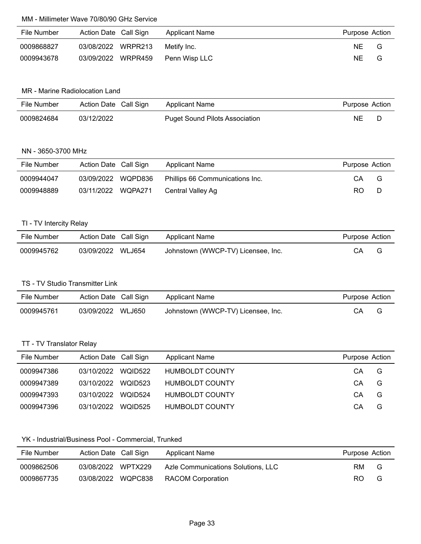# MM - Millimeter Wave 70/80/90 GHz Service

| File Number | Action Date Call Sign | Applicant Name | Purpose Action |   |
|-------------|-----------------------|----------------|----------------|---|
| 0009868827  | 03/08/2022 WRPR213    | Metify Inc.    | ΝE             | G |
| 0009943678  | 03/09/2022 WRPR459    | Penn Wisp LLC  | ΝE             | G |

### MR - Marine Radiolocation Land

| File Number | Action Date Call Sign | Applicant Name                        | Purpose Action |  |
|-------------|-----------------------|---------------------------------------|----------------|--|
| 0009824684  | 03/12/2022            | <b>Puget Sound Pilots Association</b> | NE             |  |

# NN - 3650-3700 MHz

| File Number | Action Date Call Sign | Applicant Name                  | Purpose Action |   |
|-------------|-----------------------|---------------------------------|----------------|---|
| 0009944047  | 03/09/2022 WQPD836    | Phillips 66 Communications Inc. | CА             | G |
| 0009948889  | 03/11/2022 WQPA271    | Central Valley Ag               | RO.            |   |

#### TI - TV Intercity Relay

| File Number | Action Date Call Sign | Applicant Name                     | Purpose Action |  |
|-------------|-----------------------|------------------------------------|----------------|--|
| 0009945762  | 03/09/2022 WLJ654     | Johnstown (WWCP-TV) Licensee, Inc. | CА             |  |

### TS - TV Studio Transmitter Link

| File Number | Action Date Call Sign | Applicant Name                     | Purpose Action |  |
|-------------|-----------------------|------------------------------------|----------------|--|
| 0009945761  | 03/09/2022 WLJ650     | Johnstown (WWCP-TV) Licensee, Inc. | СA             |  |

# TT - TV Translator Relay

| File Number | Action Date Call Sign |         | Applicant Name         | Purpose Action |   |
|-------------|-----------------------|---------|------------------------|----------------|---|
| 0009947386  | 03/10/2022            | WOID522 | <b>HUMBOLDT COUNTY</b> | CА             | G |
| 0009947389  | 03/10/2022            | WOID523 | HUMBOLDT COUNTY        | СA             | G |
| 0009947393  | 03/10/2022            | WOID524 | HUMBOLDT COUNTY        | CА             | G |
| 0009947396  | 03/10/2022            | WOID525 | HUMBOLDT COUNTY        | CА             | G |

### YK - Industrial/Business Pool - Commercial, Trunked

| File Number | Action Date Call Sign | Applicant Name                     | Purpose Action |     |
|-------------|-----------------------|------------------------------------|----------------|-----|
| 0009862506  | 03/08/2022 WPTX229    | Azle Communications Solutions, LLC | RM.            | - G |
| 0009867735  | 03/08/2022 WQPC838    | <b>RACOM Corporation</b>           | RO.            | G   |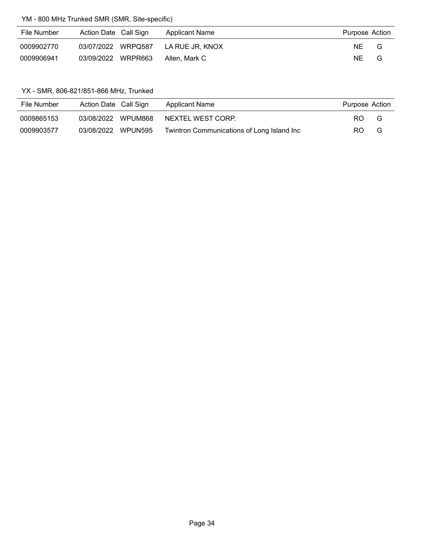# YM - 800 MHz Trunked SMR (SMR, Site-specific)

| File Number | Action Date Call Sign | Applicant Name  | Purpose Action |   |
|-------------|-----------------------|-----------------|----------------|---|
| 0009902770  | 03/07/2022 WRPQ587    | LA RUE JR. KNOX | NE.            | G |
| 0009906941  | 03/09/2022 WRPR663    | Allen. Mark C   | NE.            | G |

### YX - SMR, 806-821/851-866 MHz, Trunked

| File Number | Action Date Call Sign |                    | Applicant Name                             | Purpose Action |   |
|-------------|-----------------------|--------------------|--------------------------------------------|----------------|---|
| 0009865153  |                       | 03/08/2022 WPUM868 | NEXTEL WEST CORP.                          | RO.            | G |
| 0009903577  | 03/08/2022 WPUN595    |                    | Twintron Communications of Long Island Inc | RO.            | G |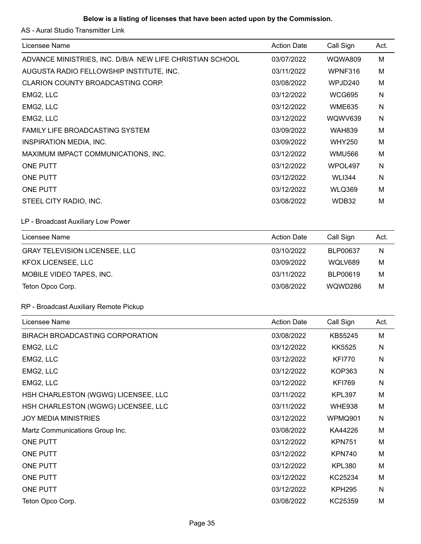# **Below is a listing of licenses that have been acted upon by the Commission.**

AS - Aural Studio Transmitter Link

| 03/07/2022         |                |      |
|--------------------|----------------|------|
|                    | <b>WQWA809</b> | M    |
| 03/11/2022         | WPNF316        | M    |
| 03/08/2022         | WPJD240        | м    |
| 03/12/2022         | <b>WCG695</b>  | N    |
| 03/12/2022         | <b>WME635</b>  | N    |
| 03/12/2022         | WQWV639        | N    |
| 03/09/2022         | <b>WAH839</b>  | M    |
| 03/09/2022         | <b>WHY250</b>  | м    |
| 03/12/2022         | <b>WMU566</b>  | M    |
| 03/12/2022         | WPOL497        | N    |
| 03/12/2022         | <b>WLI344</b>  | N    |
| 03/12/2022         | <b>WLQ369</b>  | м    |
| 03/08/2022         | WDB32          | M    |
|                    |                |      |
| <b>Action Date</b> | Call Sign      | Act. |
| 03/10/2022         | BLP00637       | N    |
| 03/09/2022         | WQLV689        | M    |
| 03/11/2022         | BLP00619       | M    |
| 03/08/2022         | WQWD286        | м    |
|                    |                |      |
| <b>Action Date</b> | Call Sign      | Act. |
| 03/08/2022         | KB55245        | M    |
| 03/12/2022         | <b>KK5525</b>  | N    |
| 03/12/2022         | <b>KFI770</b>  | N    |
| 03/12/2022         | <b>KOP363</b>  | N    |
| 03/12/2022         | <b>KFI769</b>  | N    |
| 03/11/2022         | <b>KPL397</b>  | M    |
| 03/11/2022         | <b>WHE938</b>  | M    |
| 03/12/2022         | WPMQ901        | N    |
| 03/08/2022         | KA44226        | M    |
|                    | <b>KPN751</b>  | M    |
| 03/12/2022         |                |      |
| 03/12/2022         | <b>KPN740</b>  | M    |
| 03/12/2022         | <b>KPL380</b>  | M    |
| 03/12/2022         | KC25234        | M    |
| 03/12/2022         | <b>KPH295</b>  | N    |
|                    |                |      |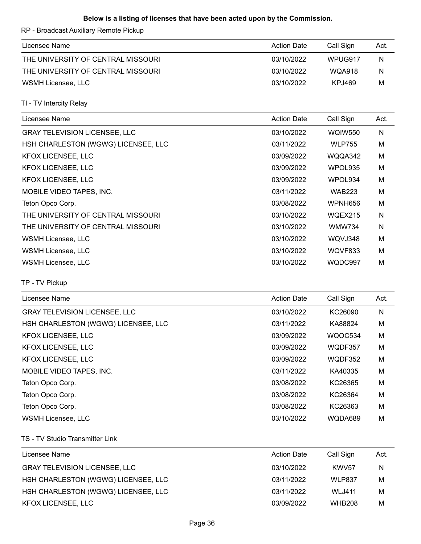### **Below is a listing of licenses that have been acted upon by the Commission.**

RP - Broadcast Auxiliary Remote Pickup

| Licensee Name                      | Action Date | Call Sign     | Act. |
|------------------------------------|-------------|---------------|------|
| THE UNIVERSITY OF CENTRAL MISSOURI | 03/10/2022  | WPUG917       | N    |
| THE UNIVERSITY OF CENTRAL MISSOURI | 03/10/2022  | <b>WQA918</b> | N    |
| WSMH Licensee, LLC                 | 03/10/2022  | KP.J469       | М    |

TI - TV Intercity Relay

| Licensee Name                        | <b>Action Date</b> | Call Sign      | Act. |
|--------------------------------------|--------------------|----------------|------|
| <b>GRAY TELEVISION LICENSEE, LLC</b> | 03/10/2022         | <b>WQIW550</b> | N    |
| HSH CHARLESTON (WGWG) LICENSEE, LLC  | 03/11/2022         | <b>WLP755</b>  | M    |
| <b>KFOX LICENSEE, LLC</b>            | 03/09/2022         | WQQA342        | M    |
| <b>KFOX LICENSEE, LLC</b>            | 03/09/2022         | WPOL935        | M    |
| <b>KFOX LICENSEE, LLC</b>            | 03/09/2022         | WPOL934        | M    |
| MOBILE VIDEO TAPES, INC.             | 03/11/2022         | <b>WAB223</b>  | M    |
| Teton Opco Corp.                     | 03/08/2022         | WPNH656        | M    |
| THE UNIVERSITY OF CENTRAL MISSOURI   | 03/10/2022         | WQEX215        | N    |
| THE UNIVERSITY OF CENTRAL MISSOURI   | 03/10/2022         | <b>WMW734</b>  | N    |
| WSMH Licensee, LLC                   | 03/10/2022         | WQVJ348        | M    |
| WSMH Licensee, LLC                   | 03/10/2022         | WQVF833        | M    |
| WSMH Licensee, LLC                   | 03/10/2022         | WQDC997        | M    |

TP - TV Pickup

| Licensee Name                        | <b>Action Date</b> | Call Sign | Act. |
|--------------------------------------|--------------------|-----------|------|
| <b>GRAY TELEVISION LICENSEE, LLC</b> | 03/10/2022         | KC26090   | Ν    |
| HSH CHARLESTON (WGWG) LICENSEE, LLC  | 03/11/2022         | KA88824   | M    |
| <b>KFOX LICENSEE, LLC</b>            | 03/09/2022         | WQOC534   | M    |
| <b>KFOX LICENSEE, LLC</b>            | 03/09/2022         | WQDF357   | M    |
| KFOX LICENSEE, LLC                   | 03/09/2022         | WQDF352   | M    |
| MOBILE VIDEO TAPES, INC.             | 03/11/2022         | KA40335   | M    |
| Teton Opco Corp.                     | 03/08/2022         | KC26365   | M    |
| Teton Opco Corp.                     | 03/08/2022         | KC26364   | M    |
| Teton Opco Corp.                     | 03/08/2022         | KC26363   | M    |
| WSMH Licensee, LLC                   | 03/10/2022         | WQDA689   | M    |

TS - TV Studio Transmitter Link

| Licensee Name                        | <b>Action Date</b> | Call Sign         | Act. |
|--------------------------------------|--------------------|-------------------|------|
| <b>GRAY TELEVISION LICENSEE, LLC</b> | 03/10/2022         | KWV <sub>57</sub> | Ν    |
| HSH CHARLESTON (WGWG) LICENSEE, LLC  | 03/11/2022         | WLP837            | м    |
| HSH CHARLESTON (WGWG) LICENSEE, LLC  | 03/11/2022         | <b>WLJ411</b>     | M    |
| <b>KFOX LICENSEE, LLC</b>            | 03/09/2022         | <b>WHB208</b>     | м    |